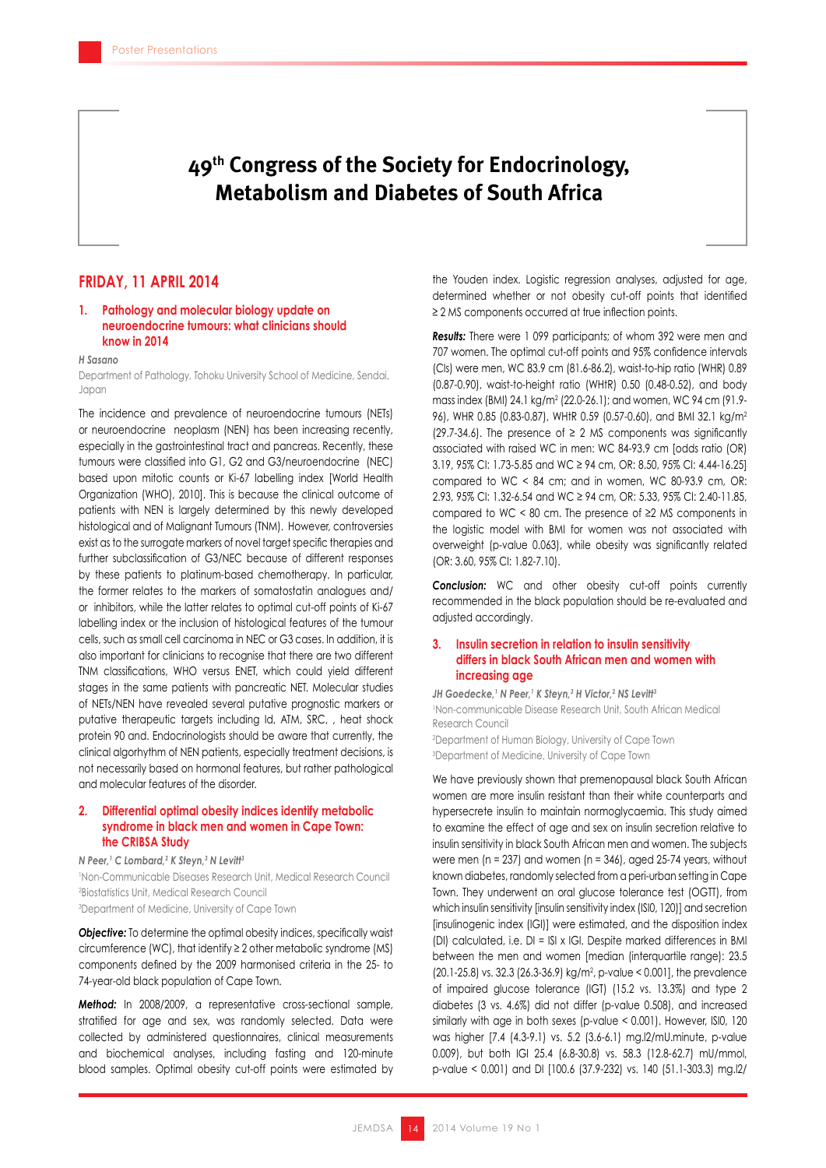# **49th Congress of the Society for Endocrinology, Metabolism and Diabetes of South Africa**

### **FRIDAY, 11 APRIL 2014**

### **1. Pathology and molecular biology update on neuroendocrine tumours: what clinicians should know in 2014**

#### *H Sasano*

Department of Pathology, Tohoku University School of Medicine, Sendai, Japan

The incidence and prevalence of neuroendocrine tumours (NETs) or neuroendocrine neoplasm (NEN) has been increasing recently, especially in the gastrointestinal tract and pancreas. Recently, these tumours were classified into G1, G2 and G3/neuroendocrine (NEC) based upon mitotic counts or Ki-67 labelling index [World Health Organization (WHO), 2010]. This is because the clinical outcome of patients with NEN is largely determined by this newly developed histological and of Malignant Tumours (TNM). However, controversies exist as to the surrogate markers of novel target specific therapies and further subclassification of G3/NEC because of different responses by these patients to platinum-based chemotherapy. In particular, the former relates to the markers of somatostatin analogues and/ or inhibitors, while the latter relates to optimal cut-off points of Ki-67 labelling index or the inclusion of histological features of the tumour cells, such as small cell carcinoma in NEC or G3 cases. In addition, it is also important for clinicians to recognise that there are two different TNM classifications, WHO versus ENET, which could yield different stages in the same patients with pancreatic NET. Molecular studies of NETs/NEN have revealed several putative prognostic markers or putative therapeutic targets including Id, ATM, SRC, , heat shock protein 90 and. Endocrinologists should be aware that currently, the clinical algorhythm of NEN patients, especially treatment decisions, is not necessarily based on hormonal features, but rather pathological and molecular features of the disorder.

### **2. Differential optimal obesity indices identify metabolic syndrome in black men and women in Cape Town: the CRIBSA Study**

*N Peer,1 C Lombard,2 K Steyn,3 N Levitt3*

1 Non-Communicable Diseases Research Unit, Medical Research Council 2 Biostatistics Unit, Medical Research Council 3 Department of Medicine, University of Cape Town

**Objective:** To determine the optimal obesity indices, specifically waist circumference (WC), that identify ≥ 2 other metabolic syndrome (MS) components defined by the 2009 harmonised criteria in the 25- to 74-year-old black population of Cape Town.

*Method:* In 2008/2009, a representative cross-sectional sample, stratified for age and sex, was randomly selected. Data were collected by administered questionnaires, clinical measurements and biochemical analyses, including fasting and 120-minute blood samples. Optimal obesity cut-off points were estimated by

the Youden index. Logistic regression analyses, adjusted for age, determined whether or not obesity cut-off points that identified ≥ 2 MS components occurred at true inflection points.

*Results:* There were 1 099 participants; of whom 392 were men and 707 women. The optimal cut-off points and 95% confidence intervals (CIs) were men, WC 83.9 cm (81.6-86.2), waist-to-hip ratio (WHR) 0.89 (0.87-0.90), waist-to-height ratio (WHtR) 0.50 (0.48-0.52), and body mass index (BMI) 24.1 kg/m2 (22.0-26.1); and women, WC 94 cm (91.9- 96), WHR 0.85 (0.83-0.87), WHtR 0.59 (0.57-0.60), and BMI 32.1 kg/m2 (29.7-34.6). The presence of  $\geq$  2 MS components was significantly associated with raised WC in men: WC 84-93.9 cm [odds ratio (OR) 3.19, 95% CI: 1.73-5.85 and WC ≥ 94 cm, OR: 8.50, 95% CI: 4.44-16.25] compared to WC < 84 cm; and in women, WC 80-93.9 cm, OR: 2.93, 95% CI: 1.32-6.54 and WC ≥ 94 cm, OR: 5.33, 95% CI: 2.40-11.85, compared to WC < 80 cm. The presence of ≥2 MS components in the logistic model with BMI for women was not associated with overweight (p-value 0.063), while obesity was significantly related (OR: 3.60, 95% CI: 1.82-7.10).

*Conclusion:* WC and other obesity cut-off points currently recommended in the black population should be re-evaluated and adjusted accordingly.

### **3. Insulin secretion in relation to insulin sensitivity differs in black South African men and women with increasing age**

JH Goedecke, <sup>1</sup> N Peer, <sup>1</sup> K Steyn, <sup>3</sup> H Victor, <sup>2</sup> NS Levitt<sup>3</sup> 1 Non-communicable Disease Research Unit, South African Medical Research Council 2 Department of Human Biology, University of Cape Town 3 Department of Medicine, University of Cape Town

We have previously shown that premenopausal black South African women are more insulin resistant than their white counterparts and hypersecrete insulin to maintain normoglycaemia. This study aimed to examine the effect of age and sex on insulin secretion relative to insulin sensitivity in black South African men and women. The subjects were men ( $n = 237$ ) and women ( $n = 346$ ), aged 25-74 years, without known diabetes, randomly selected from a peri-urban setting in Cape Town. They underwent an oral glucose tolerance test (OGTT), from which insulin sensitivity [insulin sensitivity index (ISI0, 120)] and secretion [insulinogenic index (IGI)] were estimated, and the disposition index (DI) calculated, i.e. DI = ISI x IGI. Despite marked differences in BMI between the men and women [median (interquartile range): 23.5  $(20.1-25.8)$  vs. 32.3  $(26.3-36.9)$  kg/m<sup>2</sup>, p-value < 0.001], the prevalence of impaired glucose tolerance (IGT) (15.2 vs. 13.3%) and type 2 diabetes (3 vs. 4.6%) did not differ (p-value 0.508), and increased similarly with age in both sexes (p-value < 0.001). However, ISI0, 120 was higher [7.4 (4.3-9.1) vs. 5.2 (3.6-6.1) mg.l2/mU.minute, p-value 0.009), but both IGI 25.4 (6.8-30.8) vs. 58.3 (12.8-62.7) mU/mmol, p-value < 0.001) and DI [100.6 (37.9-232) vs. 140 (51.1-303.3) mg.l2/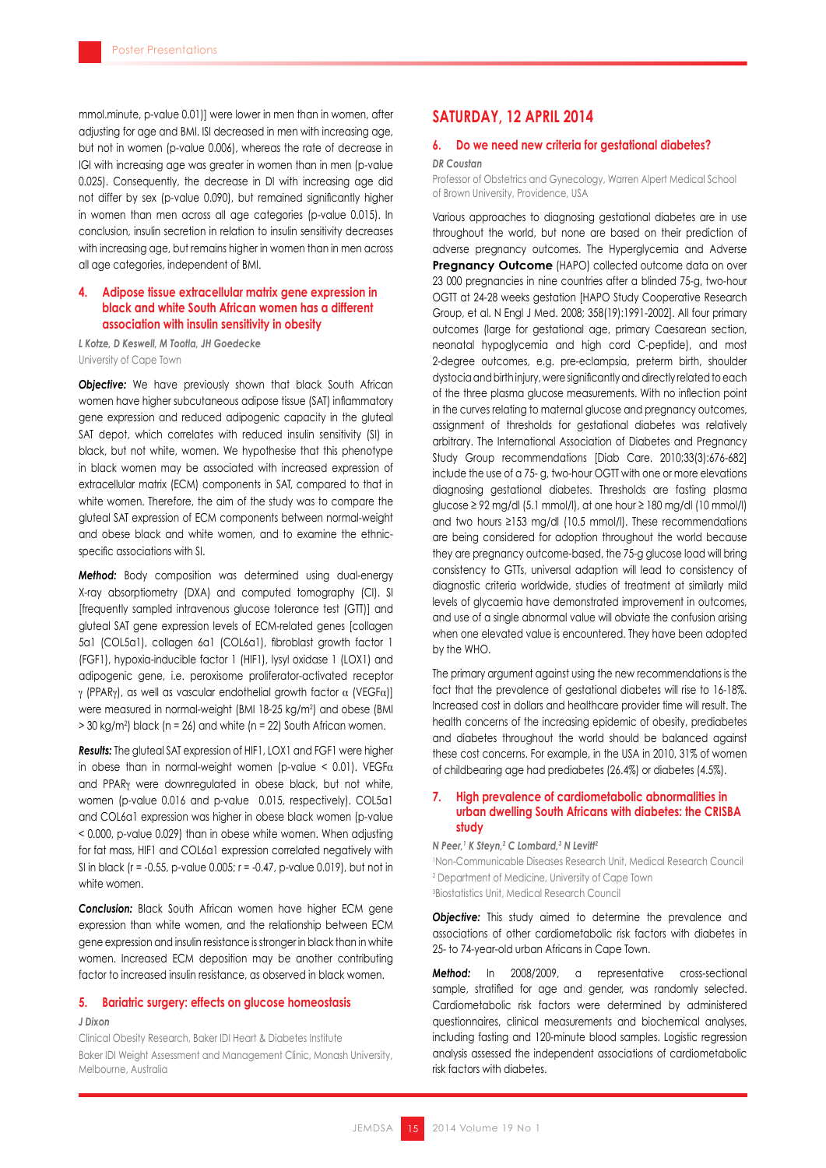mmol.minute, p-value 0.01)] were lower in men than in women, after adjusting for age and BMI. ISI decreased in men with increasing age, but not in women (p-value 0.006), whereas the rate of decrease in IGI with increasing age was greater in women than in men (p-value 0.025). Consequently, the decrease in DI with increasing age did not differ by sex (p-value 0.090), but remained significantly higher in women than men across all age categories (p-value 0.015). In conclusion, insulin secretion in relation to insulin sensitivity decreases with increasing age, but remains higher in women than in men across all age categories, independent of BMI.

### **4. Adipose tissue extracellular matrix gene expression in black and white South African women has a different association with insulin sensitivity in obesity**

*L Kotze, D Keswell, M Tootla, JH Goedecke* University of Cape Town

**Objective:** We have previously shown that black South African women have higher subcutaneous adipose tissue (SAT) inflammatory gene expression and reduced adipogenic capacity in the gluteal SAT depot, which correlates with reduced insulin sensitivity (SI) in black, but not white, women. We hypothesise that this phenotype in black women may be associated with increased expression of extracellular matrix (ECM) components in SAT, compared to that in white women. Therefore, the aim of the study was to compare the gluteal SAT expression of ECM components between normal-weight and obese black and white women, and to examine the ethnicspecific associations with SI.

*Method:* Body composition was determined using dual-energy X-ray absorptiometry (DXA) and computed tomography (CI). SI [frequently sampled intravenous glucose tolerance test (GTT)] and gluteal SAT gene expression levels of ECM-related genes [collagen 5a1 (COL5a1), collagen 6a1 (COL6a1), fibroblast growth factor 1 (FGF1), hypoxia-inducible factor 1 (HIF1), lysyl oxidase 1 (LOX1) and adipogenic gene, i.e. peroxisome proliferator-activated receptor γ (PPARγ), as well as vascular endothelial growth factor α (VEGFα)] were measured in normal-weight (BMI 18-25 kg/m2 ) and obese (BMI > 30 kg/m2 ) black (n = 26) and white (n = 22) South African women.

*Results:* The gluteal SAT expression of HIF1, LOX1 and FGF1 were higher in obese than in normal-weight women (p-value  $\leq$  0.01). VEGF $\alpha$ and PPARγ were downregulated in obese black, but not white, women (p-value 0.016 and p-value 0.015, respectively). COL5a1 and COL6a1 expression was higher in obese black women (p-value < 0.000, p-value 0.029) than in obese white women. When adjusting for fat mass, HIF1 and COL6a1 expression correlated negatively with SI in black (r = -0.55, p-value 0.005; r = -0.47, p-value 0.019), but not in white women.

*Conclusion:* Black South African women have higher ECM gene expression than white women, and the relationship between ECM gene expression and insulin resistance is stronger in black than in white women. Increased ECM deposition may be another contributing factor to increased insulin resistance, as observed in black women.

### **5. Bariatric surgery: effects on glucose homeostasis** *J Dixon*

Clinical Obesity Research, Baker IDI Heart & Diabetes Institute Baker IDI Weight Assessment and Management Clinic, Monash University, Melbourne, Australia

### **SATURDAY, 12 APRIL 2014**

### **6. Do we need new criteria for gestational diabetes?** *DR Coustan*

Professor of Obstetrics and Gynecology, Warren Alpert Medical School of Brown University, Providence, USA

Various approaches to diagnosing gestational diabetes are in use throughout the world, but none are based on their prediction of adverse pregnancy outcomes. The Hyperglycemia and Adverse **Pregnancy Outcome** (HAPO) collected outcome data on over 23 000 pregnancies in nine countries after a blinded 75-g, two-hour OGTT at 24-28 weeks gestation [HAPO Study Cooperative Research Group, et al. N Engl J Med. 2008; 358(19):1991-2002]. All four primary outcomes (large for gestational age, primary Caesarean section, neonatal hypoglycemia and high cord C-peptide), and most 2-degree outcomes, e.g. pre-eclampsia, preterm birth, shoulder dystocia and birth injury, were significantly and directly related to each of the three plasma glucose measurements. With no inflection point in the curves relating to maternal glucose and pregnancy outcomes, assignment of thresholds for gestational diabetes was relatively arbitrary. The International Association of Diabetes and Pregnancy Study Group recommendations [Diab Care. 2010;33(3):676-682] include the use of a 75- g, two-hour OGTT with one or more elevations diagnosing gestational diabetes. Thresholds are fasting plasma glucose ≥ 92 mg/dl (5.1 mmol/l), at one hour ≥ 180 mg/dl (10 mmol/l) and two hours ≥153 mg/dl (10.5 mmol/l). These recommendations are being considered for adoption throughout the world because they are pregnancy outcome-based, the 75-g glucose load will bring consistency to GTTs, universal adaption will lead to consistency of diagnostic criteria worldwide, studies of treatment at similarly mild levels of glycaemia have demonstrated improvement in outcomes, and use of a single abnormal value will obviate the confusion arising when one elevated value is encountered. They have been adopted by the WHO.

The primary argument against using the new recommendations is the fact that the prevalence of gestational diabetes will rise to 16-18%. Increased cost in dollars and healthcare provider time will result. The health concerns of the increasing epidemic of obesity, prediabetes and diabetes throughout the world should be balanced against these cost concerns. For example, in the USA in 2010, 31% of women of childbearing age had prediabetes (26.4%) or diabetes (4.5%).

### **7. High prevalence of cardiometabolic abnormalities in urban dwelling South Africans with diabetes: the CRISBA study**

#### *N Peer,1 K Steyn,2 C Lombard,3 N Levitt2*

1 Non-Communicable Diseases Research Unit, Medical Research Council 2 Department of Medicine, University of Cape Town

3 Biostatistics Unit, Medical Research Council

**Objective:** This study aimed to determine the prevalence and associations of other cardiometabolic risk factors with diabetes in 25- to 74-year-old urban Africans in Cape Town.

*Method:* In 2008/2009, a representative cross-sectional sample, stratified for age and gender, was randomly selected. Cardiometabolic risk factors were determined by administered questionnaires, clinical measurements and biochemical analyses, including fasting and 120-minute blood samples. Logistic regression analysis assessed the independent associations of cardiometabolic risk factors with diabetes.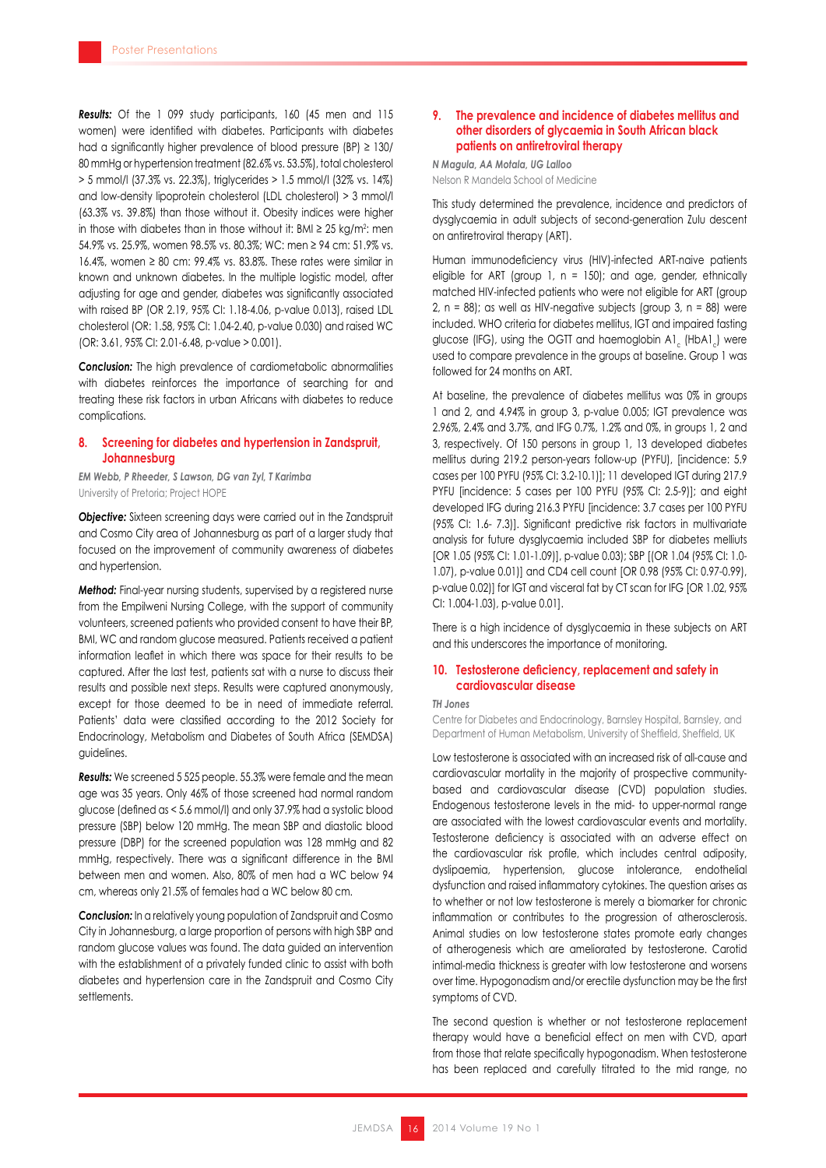*Results:* Of the 1 099 study participants, 160 (45 men and 115 women) were identified with diabetes. Participants with diabetes had a significantly higher prevalence of blood pressure (BP) ≥ 130/ 80 mmHg or hypertension treatment (82.6% vs. 53.5%), total cholesterol > 5 mmol/l (37.3% vs. 22.3%), triglycerides > 1.5 mmol/l (32% vs. 14%) and low-density lipoprotein cholesterol (LDL cholesterol) > 3 mmol/l (63.3% vs. 39.8%) than those without it. Obesity indices were higher in those with diabetes than in those without it: BMI ≥ 25 kg/m²: men 54.9% vs. 25.9%, women 98.5% vs. 80.3%; WC: men ≥ 94 cm: 51.9% vs. 16.4%, women ≥ 80 cm: 99.4% vs. 83.8%. These rates were similar in known and unknown diabetes. In the multiple logistic model, after adjusting for age and gender, diabetes was significantly associated with raised BP (OR 2.19, 95% CI: 1.18-4.06, p-value 0.013), raised LDL cholesterol (OR: 1.58, 95% CI: 1.04-2.40, p-value 0.030) and raised WC (OR: 3.61, 95% CI: 2.01-6.48, p-value > 0.001).

*Conclusion:* The high prevalence of cardiometabolic abnormalities with diabetes reinforces the importance of searching for and treating these risk factors in urban Africans with diabetes to reduce complications.

### **8. Screening for diabetes and hypertension in Zandspruit, Johannesburg**

*EM Webb, P Rheeder, S Lawson, DG van Zyl, T Karimba* University of Pretoria; Project HOPE

**Objective:** Sixteen screening days were carried out in the Zandspruit and Cosmo City area of Johannesburg as part of a larger study that focused on the improvement of community awareness of diabetes and hypertension.

*Method:* Final-year nursing students, supervised by a registered nurse from the Empilweni Nursing College, with the support of community volunteers, screened patients who provided consent to have their BP, BMI, WC and random glucose measured. Patients received a patient information leaflet in which there was space for their results to be captured. After the last test, patients sat with a nurse to discuss their results and possible next steps. Results were captured anonymously, except for those deemed to be in need of immediate referral. Patients' data were classified according to the 2012 Society for Endocrinology, Metabolism and Diabetes of South Africa (SEMDSA) guidelines.

*Results:* We screened 5 525 people. 55.3% were female and the mean age was 35 years. Only 46% of those screened had normal random glucose (defined as < 5.6 mmol/l) and only 37.9% had a systolic blood pressure (SBP) below 120 mmHg. The mean SBP and diastolic blood pressure (DBP) for the screened population was 128 mmHg and 82 mmHg, respectively. There was a significant difference in the BMI between men and women. Also, 80% of men had a WC below 94 cm, whereas only 21.5% of females had a WC below 80 cm.

*Conclusion:* In a relatively young population of Zandspruit and Cosmo City in Johannesburg, a large proportion of persons with high SBP and random glucose values was found. The data guided an intervention with the establishment of a privately funded clinic to assist with both diabetes and hypertension care in the Zandspruit and Cosmo City settlements.

### **9. The prevalence and incidence of diabetes mellitus and other disorders of glycaemia in South African black patients on antiretroviral therapy**

*N Magula, AA Motala, UG Lalloo* Nelson R Mandela School of Medicine

This study determined the prevalence, incidence and predictors of dysglycaemia in adult subjects of second-generation Zulu descent on antiretroviral therapy (ART).

Human immunodeficiency virus (HIV)-infected ART-naive patients eligible for ART (group 1,  $n = 150$ ); and age, gender, ethnically matched HIV-infected patients who were not eligible for ART (group 2,  $n = 88$ ; as well as HIV-negative subjects (group 3,  $n = 88$ ) were included. WHO criteria for diabetes mellitus, IGT and impaired fasting glucose (IFG), using the OGTT and haemoglobin A1 (HbA1) were used to compare prevalence in the groups at baseline. Group 1 was followed for 24 months on ART.

At baseline, the prevalence of diabetes mellitus was 0% in groups 1 and 2, and 4.94% in group 3, p-value 0.005; IGT prevalence was 2.96%, 2.4% and 3.7%, and IFG 0.7%, 1.2% and 0%, in groups 1, 2 and 3, respectively. Of 150 persons in group 1, 13 developed diabetes mellitus during 219.2 person-years follow-up (PYFU), [incidence: 5.9 cases per 100 PYFU (95% CI: 3.2-10.1)]; 11 developed IGT during 217.9 PYFU [incidence: 5 cases per 100 PYFU (95% CI: 2.5-9)]; and eight developed IFG during 216.3 PYFU [incidence: 3.7 cases per 100 PYFU (95% CI: 1.6- 7.3)]. Significant predictive risk factors in multivariate analysis for future dysglycaemia included SBP for diabetes melliuts [OR 1.05 (95% CI: 1.01-1.09)], p-value 0.03); SBP [(OR 1.04 (95% CI: 1.0- 1.07), p-value 0.01)] and CD4 cell count [OR 0.98 (95% CI: 0.97-0.99), p-value 0.02)] for IGT and visceral fat by CT scan for IFG [OR 1.02, 95% CI: 1.004-1.03), p-value 0.01].

There is a high incidence of dysglycaemia in these subjects on ART and this underscores the importance of monitoring.

### **10. Testosterone deficiency, replacement and safety in cardiovascular disease**

#### *TH Jones*

Centre for Diabetes and Endocrinology, Barnsley Hospital, Barnsley, and Department of Human Metabolism, University of Sheffield, Sheffield, UK

Low testosterone is associated with an increased risk of all-cause and cardiovascular mortality in the majority of prospective communitybased and cardiovascular disease (CVD) population studies. Endogenous testosterone levels in the mid- to upper-normal range are associated with the lowest cardiovascular events and mortality. Testosterone deficiency is associated with an adverse effect on the cardiovascular risk profile, which includes central adiposity, dyslipaemia, hypertension, glucose intolerance, endothelial dysfunction and raised inflammatory cytokines. The question arises as to whether or not low testosterone is merely a biomarker for chronic inflammation or contributes to the progression of atherosclerosis. Animal studies on low testosterone states promote early changes of atherogenesis which are ameliorated by testosterone. Carotid intimal-media thickness is greater with low testosterone and worsens over time. Hypogonadism and/or erectile dysfunction may be the first symptoms of CVD.

The second question is whether or not testosterone replacement therapy would have a beneficial effect on men with CVD, apart from those that relate specifically hypogonadism. When testosterone has been replaced and carefully titrated to the mid range, no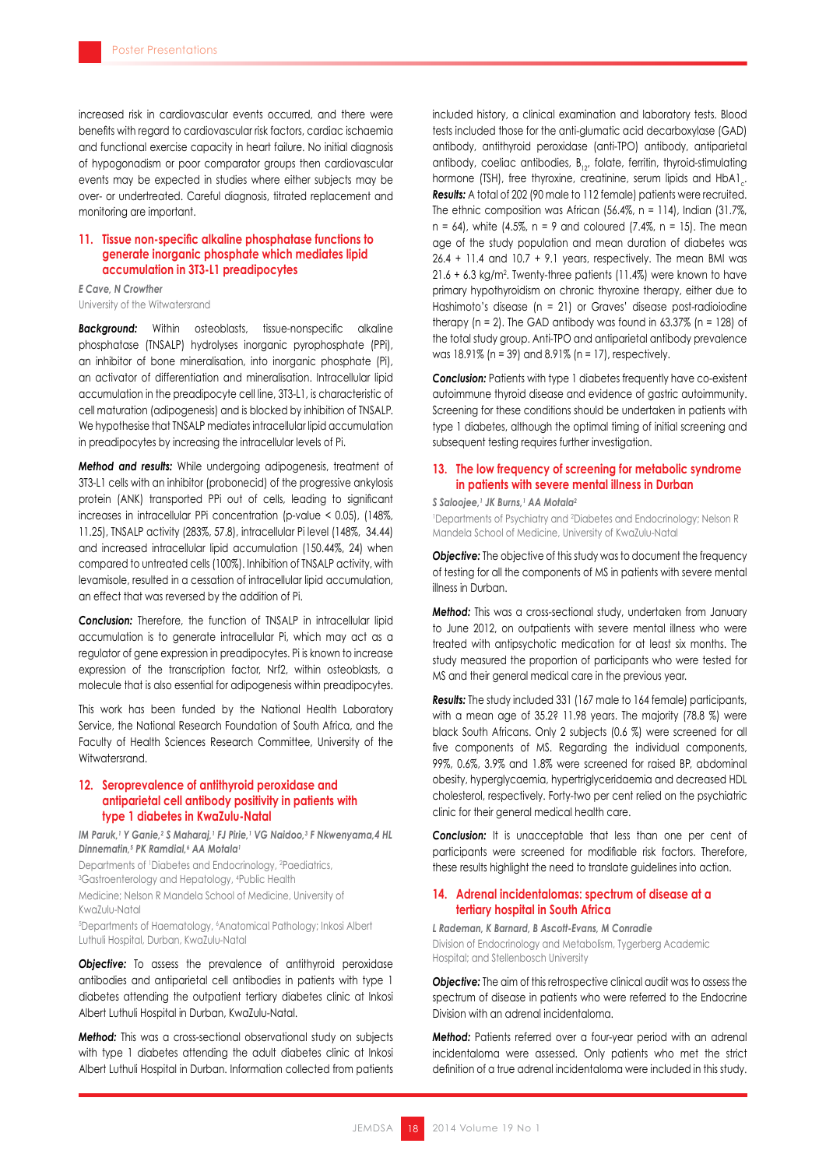increased risk in cardiovascular events occurred, and there were benefits with regard to cardiovascular risk factors, cardiac ischaemia and functional exercise capacity in heart failure. No initial diagnosis of hypogonadism or poor comparator groups then cardiovascular events may be expected in studies where either subjects may be over- or undertreated. Careful diagnosis, titrated replacement and monitoring are important.

### **11. Tissue non-specific alkaline phosphatase functions to generate inorganic phosphate which mediates lipid accumulation in 3T3-L1 preadipocytes**

*E Cave, N Crowther* University of the Witwatersrand

*Background:* Within osteoblasts, tissue-nonspecific alkaline phosphatase (TNSALP) hydrolyses inorganic pyrophosphate (PPi), an inhibitor of bone mineralisation, into inorganic phosphate (Pi), an activator of differentiation and mineralisation. Intracellular lipid accumulation in the preadipocyte cell line, 3T3-L1, is characteristic of cell maturation (adipogenesis) and is blocked by inhibition of TNSALP. We hypothesise that TNSALP mediates intracellular lipid accumulation in preadipocytes by increasing the intracellular levels of Pi.

*Method and results:* While undergoing adipogenesis, treatment of 3T3-L1 cells with an inhibitor (probonecid) of the progressive ankylosis protein (ANK) transported PPi out of cells, leading to significant increases in intracellular PPi concentration (p-value < 0.05), (148%, 11.25), TNSALP activity (283%, 57.8), intracellular Pi level (148%, 34.44) and increased intracellular lipid accumulation (150.44%, 24) when compared to untreated cells (100%). Inhibition of TNSALP activity, with levamisole, resulted in a cessation of intracellular lipid accumulation, an effect that was reversed by the addition of Pi.

*Conclusion:* Therefore, the function of TNSALP in intracellular lipid accumulation is to generate intracellular Pi, which may act as a regulator of gene expression in preadipocytes. Pi is known to increase expression of the transcription factor, Nrf2, within osteoblasts, a molecule that is also essential for adipogenesis within preadipocytes.

This work has been funded by the National Health Laboratory Service, the National Research Foundation of South Africa, and the Faculty of Health Sciences Research Committee, University of the Witwatersrand.

### **12. Seroprevalence of antithyroid peroxidase and antiparietal cell antibody positivity in patients with type 1 diabetes in KwaZulu-Natal**

IM Paruk,' Y Ganie,<sup>2</sup> S Maharaj,' FJ Pirie,' VG Naidoo,<sup>3</sup> F Nkwenyama,4 HL *Dinnematin,5 PK Ramdial,6 AA Motala1*

Departments of 1 Diabetes and Endocrinology, <sup>2</sup> Paediatrics, 3 Gastroenterology and Hepatology, <sup>4</sup> Public Health

Medicine; Nelson R Mandela School of Medicine, University of

KwaZulu-Natal

5 Departments of Haematology, 6 Anatomical Pathology; Inkosi Albert Luthuli Hospital, Durban, KwaZulu-Natal

**Objective:** To assess the prevalence of antithyroid peroxidase antibodies and antiparietal cell antibodies in patients with type 1 diabetes attending the outpatient tertiary diabetes clinic at Inkosi Albert Luthuli Hospital in Durban, KwaZulu-Natal.

*Method:* This was a cross-sectional observational study on subjects with type 1 diabetes attending the adult diabetes clinic at Inkosi Albert Luthuli Hospital in Durban. Information collected from patients included history, a clinical examination and laboratory tests. Blood tests included those for the anti-glumatic acid decarboxylase (GAD) antibody, antithyroid peroxidase (anti-TPO) antibody, antiparietal antibody, coeliac antibodies,  $B_{12}$ , folate, ferritin, thyroid-stimulating hormone (TSH), free thyroxine, creatinine, serum lipids and HbA1. *Results:* A total of 202 (90 male to 112 female) patients were recruited. The ethnic composition was African  $(56.4\% , n = 114)$ , Indian  $(31.7\% ,$  $n = 64$ , white (4.5%,  $n = 9$  and coloured (7.4%,  $n = 15$ ). The mean age of the study population and mean duration of diabetes was 26.4 + 11.4 and 10.7 + 9.1 years, respectively. The mean BMI was  $21.6 + 6.3$  kg/m<sup>2</sup>. Twenty-three patients (11.4%) were known to have primary hypothyroidism on chronic thyroxine therapy, either due to Hashimoto's disease (n = 21) or Graves' disease post-radioiodine therapy  $(n = 2)$ . The GAD antibody was found in 63.37%  $(n = 128)$  of the total study group. Anti-TPO and antiparietal antibody prevalence was 18.91% (n = 39) and 8.91% (n = 17), respectively.

**Conclusion:** Patients with type 1 diabetes frequently have co-existent autoimmune thyroid disease and evidence of gastric autoimmunity. Screening for these conditions should be undertaken in patients with type 1 diabetes, although the optimal timing of initial screening and subsequent testing requires further investigation.

### **13. The low frequency of screening for metabolic syndrome in patients with severe mental illness in Durban**

*S Saloojee,1 JK Burns,1 AA Motala2*

1 Departments of Psychiatry and <sup>2</sup> Diabetes and Endocrinology; Nelson R Mandela School of Medicine, University of KwaZulu-Natal

**Objective:** The objective of this study was to document the frequency of testing for all the components of MS in patients with severe mental illness in Durban.

*Method:* This was a cross-sectional study, undertaken from January to June 2012, on outpatients with severe mental illness who were treated with antipsychotic medication for at least six months. The study measured the proportion of participants who were tested for MS and their general medical care in the previous year.

*Results:* The study included 331 (167 male to 164 female) participants, with a mean age of 35.2? 11.98 years. The majority (78.8 %) were black South Africans. Only 2 subjects (0.6 %) were screened for all five components of MS. Regarding the individual components, 99%, 0.6%, 3.9% and 1.8% were screened for raised BP, abdominal obesity, hyperglycaemia, hypertriglyceridaemia and decreased HDL cholesterol, respectively. Forty-two per cent relied on the psychiatric clinic for their general medical health care.

**Conclusion:** It is unacceptable that less than one per cent of participants were screened for modifiable risk factors. Therefore, these results highlight the need to translate guidelines into action.

### **14. Adrenal incidentalomas: spectrum of disease at a tertiary hospital in South Africa**

*L Rademan, K Barnard, B Ascott-Evans, M Conradie*

Division of Endocrinology and Metabolism, Tygerberg Academic Hospital; and Stellenbosch University

**Objective:** The aim of this retrospective clinical audit was to assess the spectrum of disease in patients who were referred to the Endocrine Division with an adrenal incidentaloma.

*Method:* Patients referred over a four-year period with an adrenal incidentaloma were assessed. Only patients who met the strict definition of a true adrenal incidentaloma were included in this study.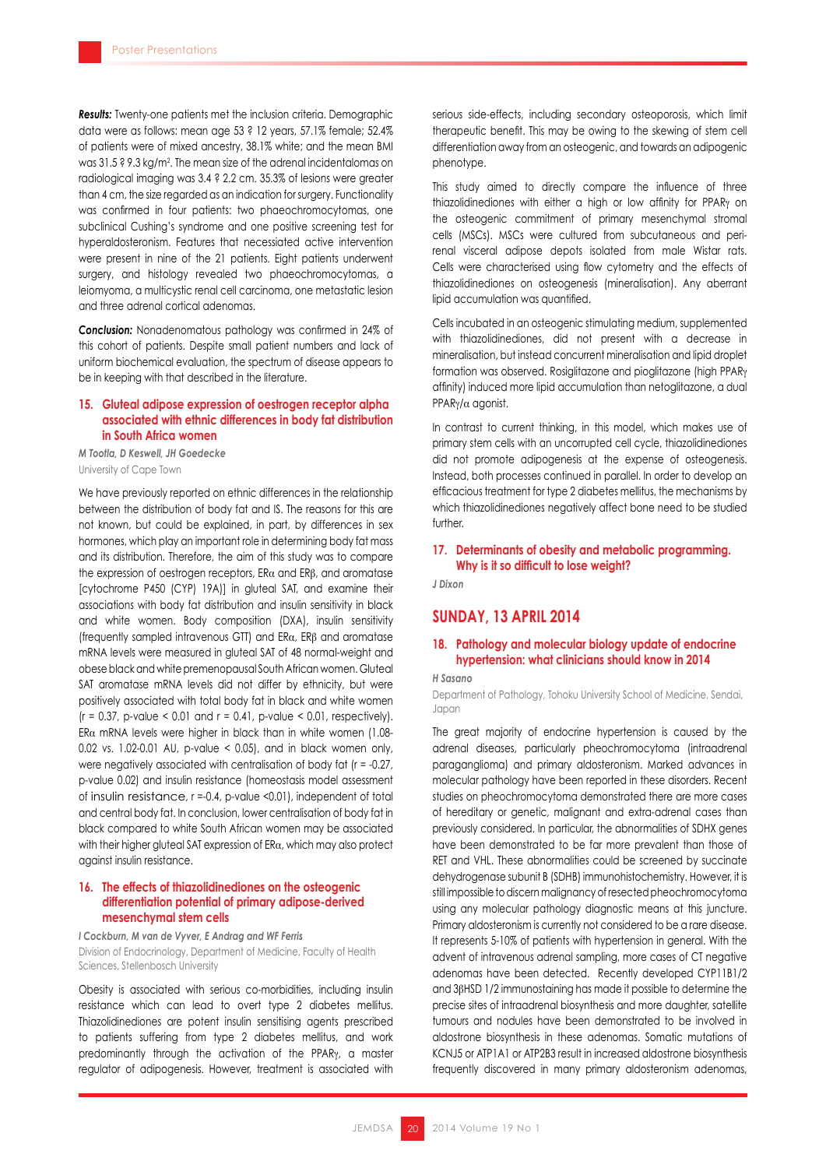*Results:* Twenty-one patients met the inclusion criteria. Demographic data were as follows: mean age 53 ? 12 years, 57.1% female; 52.4% of patients were of mixed ancestry, 38.1% white; and the mean BMI was 31.5 ? 9.3 kg/m2 . The mean size of the adrenal incidentalomas on radiological imaging was 3.4 ? 2.2 cm. 35.3% of lesions were greater than 4 cm, the size regarded as an indication for surgery. Functionality was confirmed in four patients: two phaeochromocytomas, one subclinical Cushing's syndrome and one positive screening test for hyperaldosteronism. Features that necessiated active intervention were present in nine of the 21 patients. Eight patients underwent surgery, and histology revealed two phaeochromocytomas, a leiomyoma, a multicystic renal cell carcinoma, one metastatic lesion and three adrenal cortical adenomas.

*Conclusion:* Nonadenomatous pathology was confirmed in 24% of this cohort of patients. Despite small patient numbers and lack of uniform biochemical evaluation, the spectrum of disease appears to be in keeping with that described in the literature.

### **15. Gluteal adipose expression of oestrogen receptor alpha associated with ethnic differences in body fat distribution in South Africa women**

*M Tootla, D Keswell, JH Goedecke*  University of Cape Town

We have previously reported on ethnic differences in the relationship between the distribution of body fat and IS. The reasons for this are not known, but could be explained, in part, by differences in sex hormones, which play an important role in determining body fat mass and its distribution. Therefore, the aim of this study was to compare the expression of oestrogen receptors, ERα and ERβ, and aromatase [cytochrome P450 (CYP) 19A)] in gluteal SAT, and examine their associations with body fat distribution and insulin sensitivity in black and white women. Body composition (DXA), insulin sensitivity (frequently sampled intravenous GTT) and ERα, ERβ and aromatase mRNA levels were measured in gluteal SAT of 48 normal-weight and obese black and white premenopausal South African women. Gluteal SAT aromatase mRNA levels did not differ by ethnicity, but were positively associated with total body fat in black and white women  $(r = 0.37, p-value < 0.01$  and  $r = 0.41, p-value < 0.01$ , respectively). ER $\alpha$  mRNA levels were higher in black than in white women (1.08-0.02 vs. 1.02-0.01 AU, p-value < 0.05), and in black women only, were negatively associated with centralisation of body fat (r = -0.27, p-value 0.02) and insulin resistance (homeostasis model assessment of insulin resistance, r =-0.4, p-value <0.01), independent of total and central body fat. In conclusion, lower centralisation of body fat in black compared to white South African women may be associated with their higher gluteal SAT expression of  $E\n<sub>\alpha</sub>$ , which may also protect against insulin resistance.

### **16. The effects of thiazolidinediones on the osteogenic differentiation potential of primary adipose-derived mesenchymal stem cells**

*I Cockburn, M van de Vyver, E Andrag and WF Ferris* Division of Endocrinology, Department of Medicine, Faculty of Health Sciences, Stellenbosch University

Obesity is associated with serious co-morbidities, including insulin resistance which can lead to overt type 2 diabetes mellitus. Thiazolidinediones are potent insulin sensitising agents prescribed to patients suffering from type 2 diabetes mellitus, and work predominantly through the activation of the PPARγ, a master regulator of adipogenesis. However, treatment is associated with serious side-effects, including secondary osteoporosis, which limit therapeutic benefit. This may be owing to the skewing of stem cell differentiation away from an osteogenic, and towards an adipogenic phenotype.

This study aimed to directly compare the influence of three thiazolidinediones with either a high or low affinity for PPARγ on the osteogenic commitment of primary mesenchymal stromal cells (MSCs). MSCs were cultured from subcutaneous and perirenal visceral adipose depots isolated from male Wistar rats. Cells were characterised using flow cytometry and the effects of thiazolidinediones on osteogenesis (mineralisation). Any aberrant lipid accumulation was quantified.

Cells incubated in an osteogenic stimulating medium, supplemented with thiazolidinediones, did not present with a decrease in mineralisation, but instead concurrent mineralisation and lipid droplet formation was observed. Rosiglitazone and pioglitazone (high PPARγ affinity) induced more lipid accumulation than netoglitazone, a dual PPARγ/α agonist.

In contrast to current thinking, in this model, which makes use of primary stem cells with an uncorrupted cell cycle, thiazolidinediones did not promote adipogenesis at the expense of osteogenesis. Instead, both processes continued in parallel. In order to develop an efficacious treatment for type 2 diabetes mellitus, the mechanisms by which thiazolidinediones negatively affect bone need to be studied further.

### **17. Determinants of obesity and metabolic programming. Why is it so difficult to lose weight?**

*J Dixon*

### **SUNDAY, 13 APRIL 2014**

### **18. Pathology and molecular biology update of endocrine hypertension: what clinicians should know in 2014**

### *H Sasano*

Department of Pathology, Tohoku University School of Medicine, Sendai, Japan

The great majority of endocrine hypertension is caused by the adrenal diseases, particularly pheochromocytoma (intraadrenal paraganglioma) and primary aldosteronism. Marked advances in molecular pathology have been reported in these disorders. Recent studies on pheochromocytoma demonstrated there are more cases of hereditary or genetic, malignant and extra-adrenal cases than previously considered. In particular, the abnormalities of SDHX genes have been demonstrated to be far more prevalent than those of RET and VHL. These abnormalities could be screened by succinate dehydrogenase subunit B (SDHB) immunohistochemistry. However, it is still impossible to discern malignancy of resected pheochromocytoma using any molecular pathology diagnostic means at this juncture. Primary aldosteronism is currently not considered to be a rare disease. It represents 5-10% of patients with hypertension in general. With the advent of intravenous adrenal sampling, more cases of CT negative adenomas have been detected. Recently developed CYP11B1/2 and 3βHSD 1/2 immunostaining has made it possible to determine the precise sites of intraadrenal biosynthesis and more daughter, satellite tumours and nodules have been demonstrated to be involved in aldostrone biosynthesis in these adenomas. Somatic mutations of KCNJ5 or ATP1A1 or ATP2B3 result in increased aldostrone biosynthesis frequently discovered in many primary aldosteronism adenomas,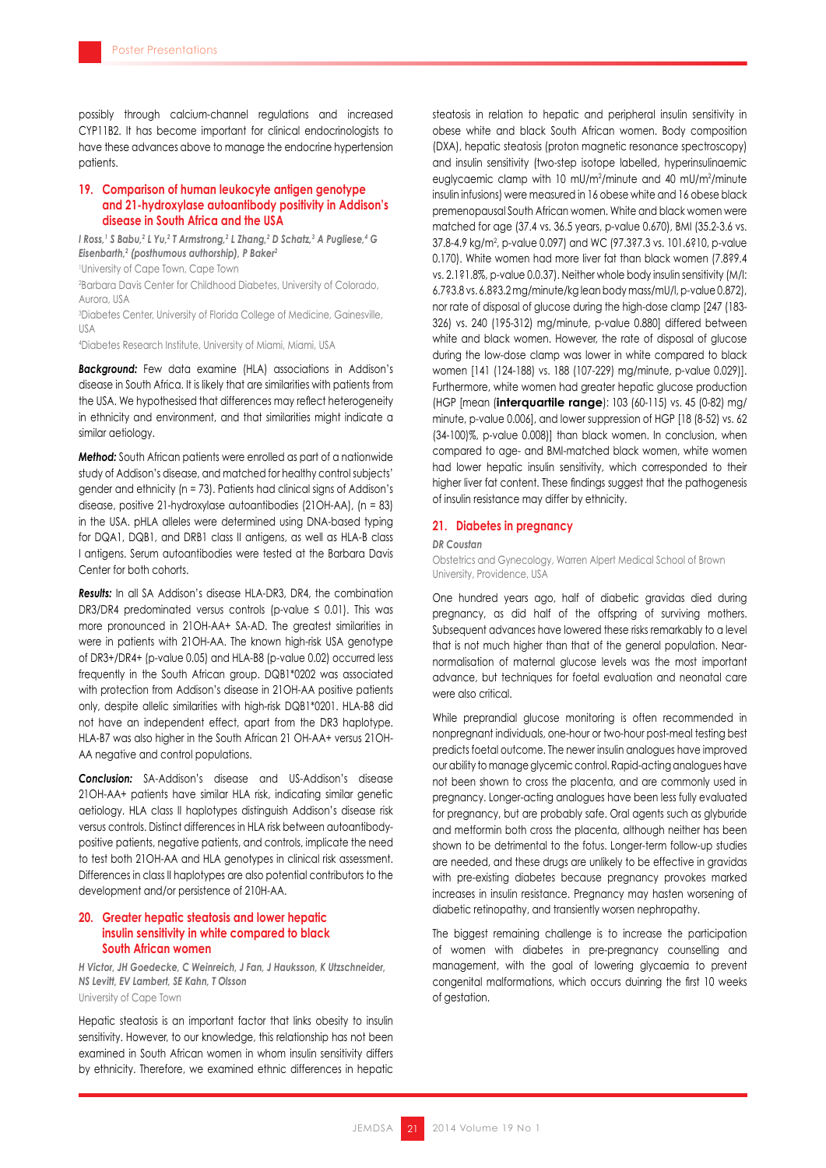possibly through calcium-channel regulations and increased CYP11B2. It has become important for clinical endocrinologists to have these advances above to manage the endocrine hypertension patients.

### **19. Comparison of human leukocyte antigen genotype and 21-hydroxylase autoantibody positivity in Addison's disease in South Africa and the USA**

*I Ross,' S Babu,<sup>2</sup> L Yu,<sup>2</sup> T Armstrong,<sup>2</sup> L Zhang,<sup>2</sup> D Schatz,<sup>3</sup> A Pugliese,<sup>4</sup> G Eisenbarth,2 (posthumous authorship), P Baker2*

1 University of Cape Town, Cape Town

2 Barbara Davis Center for Childhood Diabetes, University of Colorado, Aurora, USA

3 Diabetes Center, University of Florida College of Medicine, Gainesville, USA

4 Diabetes Research Institute, University of Miami, Miami, USA

*Background:* Few data examine (HLA) associations in Addison's disease in South Africa. It is likely that are similarities with patients from the USA. We hypothesised that differences may reflect heterogeneity in ethnicity and environment, and that similarities might indicate a similar aetiology.

*Method:* South African patients were enrolled as part of a nationwide study of Addison's disease, and matched for healthy control subjects' gender and ethnicity (n = 73). Patients had clinical signs of Addison's disease, positive 21-hydroxylase autoantibodies (21OH-AA), (n = 83) in the USA. pHLA alleles were determined using DNA-based typing for DQA1, DQB1, and DRB1 class II antigens, as well as HLA-B class I antigens. Serum autoantibodies were tested at the Barbara Davis Center for both cohorts.

*Results:* In all SA Addison's disease HLA-DR3, DR4, the combination DR3/DR4 predominated versus controls (p-value  $\leq$  0.01). This was more pronounced in 21OH-AA+ SA-AD. The greatest similarities in were in patients with 21OH-AA. The known high-risk USA genotype of DR3+/DR4+ (p-value 0.05) and HLA-B8 (p-value 0.02) occurred less frequently in the South African group. DQB1\*0202 was associated with protection from Addison's disease in 21OH-AA positive patients only, despite allelic similarities with high-risk DQB1\*0201. HLA-B8 did not have an independent effect, apart from the DR3 haplotype. HLA-B7 was also higher in the South African 21 OH-AA+ versus 21OH-AA negative and control populations.

*Conclusion:* SA-Addison's disease and US-Addison's disease 21OH-AA+ patients have similar HLA risk, indicating similar genetic aetiology. HLA class II haplotypes distinguish Addison's disease risk versus controls. Distinct differences in HLA risk between autoantibodypositive patients, negative patients, and controls, implicate the need to test both 21OH-AA and HLA genotypes in clinical risk assessment. Differences in class II haplotypes are also potential contributors to the development and/or persistence of 210H-AA.

### **20. Greater hepatic steatosis and lower hepatic insulin sensitivity in white compared to black South African women**

*H Victor, JH Goedecke, C Weinreich, J Fan, J Hauksson, K Utzschneider, NS Levitt, EV Lambert, SE Kahn, T Olsson* University of Cape Town

Hepatic steatosis is an important factor that links obesity to insulin sensitivity. However, to our knowledge, this relationship has not been examined in South African women in whom insulin sensitivity differs by ethnicity. Therefore, we examined ethnic differences in hepatic

steatosis in relation to hepatic and peripheral insulin sensitivity in obese white and black South African women. Body composition (DXA), hepatic steatosis (proton magnetic resonance spectroscopy) and insulin sensitivity (two-step isotope labelled, hyperinsulinaemic euglycaemic clamp with 10 mU/m<sup>2</sup>/minute and 40 mU/m<sup>2</sup>/minute insulin infusions) were measured in 16 obese white and 16 obese black premenopausal South African women. White and black women were matched for age (37.4 vs. 36.5 years, p-value 0.670), BMI (35.2-3.6 vs. 37.8-4.9 kg/m2 , p-value 0.097) and WC (97.3?7.3 vs. 101.6?10, p-value 0.170). White women had more liver fat than black women (7.8?9.4 vs. 2.1?1.8%, p-value 0.0.37). Neither whole body insulin sensitivity (M/I: 6.7?3.8 vs. 6.8?3.2 mg/minute/kg lean body mass/mU/l, p-value 0.872), nor rate of disposal of glucose during the high-dose clamp [247 (183- 326) vs. 240 (195-312) mg/minute, p-value 0.880] differed between white and black women. However, the rate of disposal of glucose during the low-dose clamp was lower in white compared to black women [141 (124-188) vs. 188 (107-229) mg/minute, p-value 0.029)]. Furthermore, white women had greater hepatic glucose production (HGP [mean (**interquartile range**): 103 (60-115) vs. 45 (0-82) mg/ minute, p-value 0.006], and lower suppression of HGP [18 (8-52) vs. 62 (34-100)%, p-value 0.008)] than black women. In conclusion, when compared to age- and BMI-matched black women, white women had lower hepatic insulin sensitivity, which corresponded to their higher liver fat content. These findings suggest that the pathogenesis of insulin resistance may differ by ethnicity.

#### **21. Diabetes in pregnancy**

*DR Coustan*

Obstetrics and Gynecology, Warren Alpert Medical School of Brown University, Providence, USA

One hundred years ago, half of diabetic gravidas died during pregnancy, as did half of the offspring of surviving mothers. Subsequent advances have lowered these risks remarkably to a level that is not much higher than that of the general population. Nearnormalisation of maternal glucose levels was the most important advance, but techniques for foetal evaluation and neonatal care were also critical.

While preprandial glucose monitoring is often recommended in nonpregnant individuals, one-hour or two-hour post-meal testing best predicts foetal outcome. The newer insulin analogues have improved our ability to manage glycemic control. Rapid-acting analogues have not been shown to cross the placenta, and are commonly used in pregnancy. Longer-acting analogues have been less fully evaluated for pregnancy, but are probably safe. Oral agents such as glyburide and metformin both cross the placenta, although neither has been shown to be detrimental to the fotus. Longer-term follow-up studies are needed, and these drugs are unlikely to be effective in gravidas with pre-existing diabetes because pregnancy provokes marked increases in insulin resistance. Pregnancy may hasten worsening of diabetic retinopathy, and transiently worsen nephropathy.

The biggest remaining challenge is to increase the participation of women with diabetes in pre-pregnancy counselling and management, with the goal of lowering glycaemia to prevent congenital malformations, which occurs duinring the first 10 weeks of gestation.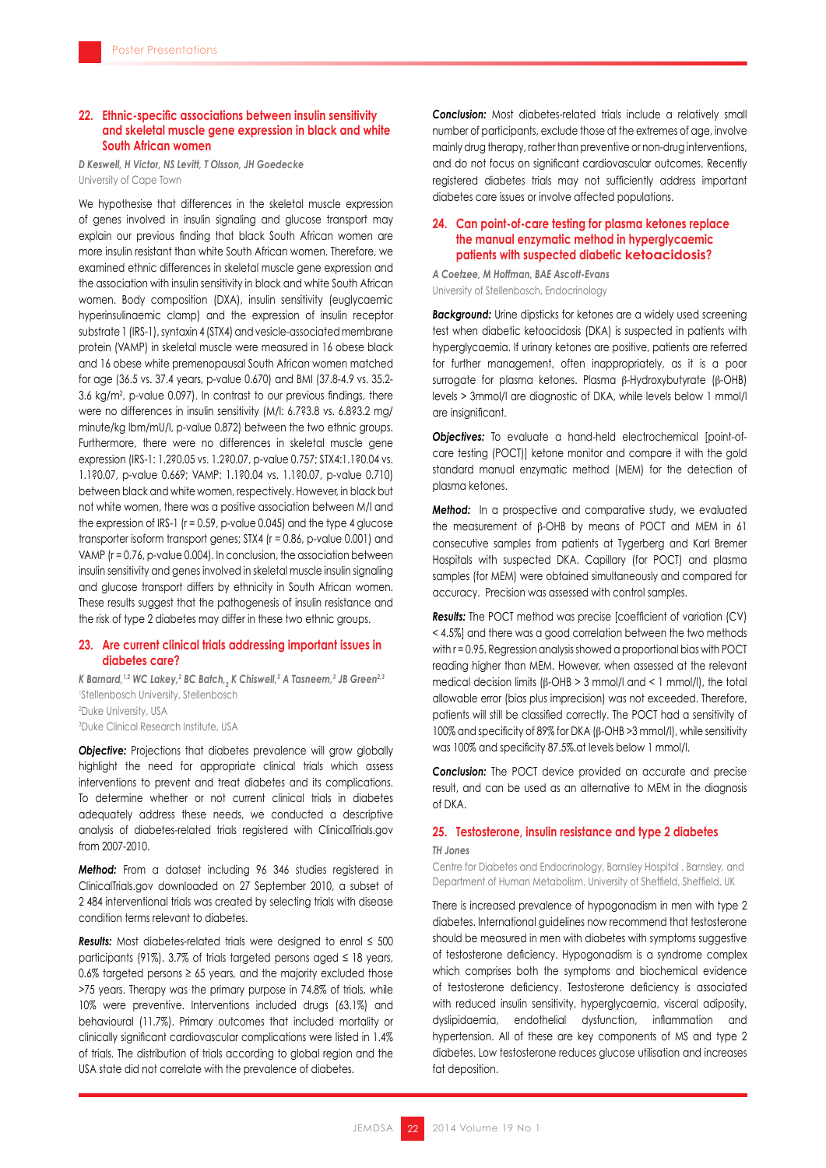### **22. Ethnic-specific associations between insulin sensitivity and skeletal muscle gene expression in black and white South African women**

*D Keswell, H Victor, NS Levitt, T Olsson, JH Goedecke*  University of Cape Town

We hypothesise that differences in the skeletal muscle expression of genes involved in insulin signaling and glucose transport may explain our previous finding that black South African women are more insulin resistant than white South African women. Therefore, we examined ethnic differences in skeletal muscle gene expression and the association with insulin sensitivity in black and white South African women. Body composition (DXA), insulin sensitivity (euglycaemic hyperinsulinaemic clamp) and the expression of insulin receptor substrate 1 (IRS-1), syntaxin 4 (STX4) and vesicle-associated membrane protein (VAMP) in skeletal muscle were measured in 16 obese black and 16 obese white premenopausal South African women matched for age (36.5 vs. 37.4 years, p-value 0.670) and BMI (37.8-4.9 vs. 35.2- 3.6 kg/m2 , p-value 0.097). In contrast to our previous findings, there were no differences in insulin sensitivity (M/I: 6.7?3.8 vs. 6.8?3.2 mg/ minute/kg lbm/mU/l, p-value 0.872) between the two ethnic groups. Furthermore, there were no differences in skeletal muscle gene expression (IRS-1: 1.2?0.05 vs. 1.2?0.07, p-value 0.757; STX4:1.1?0.04 vs. 1.1?0.07, p-value 0.669; VAMP: 1.1?0.04 vs. 1.1?0.07, p-value 0.710) between black and white women, respectively. However, in black but not white women, there was a positive association between M/I and the expression of IRS-1 (r = 0.59, p-value 0.045) and the type 4 glucose transporter isoform transport genes; STX4 (r = 0.86, p-value 0.001) and VAMP (r = 0.76, p-value 0.004). In conclusion, the association between insulin sensitivity and genes involved in skeletal muscle insulin signaling and glucose transport differs by ethnicity in South African women. These results suggest that the pathogenesis of insulin resistance and the risk of type 2 diabetes may differ in these two ethnic groups.

### **23. Are current clinical trials addressing important issues in diabetes care?**

*K Barnard,1,2 WC Lakey,2 BC Batch,2 K Chiswell,3 A Tasneem,3 JB Green2,3* Stellenbosch University, Stellenbosch Duke University, USA Duke Clinical Research Institute, USA

*Objective:* Projections that diabetes prevalence will grow globally highlight the need for appropriate clinical trials which assess interventions to prevent and treat diabetes and its complications. To determine whether or not current clinical trials in diabetes adequately address these needs, we conducted a descriptive analysis of diabetes-related trials registered with ClinicalTrials.gov from 2007-2010.

*Method:* From a dataset including 96 346 studies registered in ClinicalTrials.gov downloaded on 27 September 2010, a subset of 2 484 interventional trials was created by selecting trials with disease condition terms relevant to diabetes.

*Results:* Most diabetes-related trials were designed to enrol ≤ 500 participants (91%). 3.7% of trials targeted persons aged  $\leq$  18 years, 0.6% targeted persons  $\geq$  65 years, and the majority excluded those >75 years. Therapy was the primary purpose in 74.8% of trials, while 10% were preventive. Interventions included drugs (63.1%) and behavioural (11.7%). Primary outcomes that included mortality or clinically significant cardiovascular complications were listed in 1.4% of trials. The distribution of trials according to global region and the USA state did not correlate with the prevalence of diabetes.

*Conclusion:* Most diabetes-related trials include a relatively small number of participants, exclude those at the extremes of age, involve mainly drug therapy, rather than preventive or non-drug interventions, and do not focus on significant cardiovascular outcomes. Recently registered diabetes trials may not sufficiently address important diabetes care issues or involve affected populations.

### **24. Can point-of-care testing for plasma ketones replace the manual enzymatic method in hyperglycaemic patients with suspected diabetic ketoacidosis?**

*A Coetzee, M Hoffman, BAE Ascott-Evans* University of Stellenbosch, Endocrinology

*Background:* Urine dipsticks for ketones are a widely used screening test when diabetic ketoacidosis (DKA) is suspected in patients with hyperglycaemia. If urinary ketones are positive, patients are referred for further management, often inappropriately, as it is a poor surrogate for plasma ketones. Plasma β-Hydroxybutyrate (β-OHB) levels > 3mmol/l are diagnostic of DKA, while levels below 1 mmol/l are insignificant.

*Objectives:* To evaluate a hand-held electrochemical [point-ofcare testing (POCT)] ketone monitor and compare it with the gold standard manual enzymatic method (MEM) for the detection of plasma ketones.

*Method:* In a prospective and comparative study, we evaluated the measurement of β-OHB by means of POCT and MEM in 61 consecutive samples from patients at Tygerberg and Karl Bremer Hospitals with suspected DKA. Capillary (for POCT) and plasma samples (for MEM) were obtained simultaneously and compared for accuracy. Precision was assessed with control samples.

*Results:* The POCT method was precise [coefficient of variation (CV) < 4.5%] and there was a good correlation between the two methods with r = 0.95. Regression analysis showed a proportional bias with POCT reading higher than MEM. However, when assessed at the relevant medical decision limits (β-OHB > 3 mmol/l and < 1 mmol/l), the total allowable error (bias plus imprecision) was not exceeded. Therefore, patients will still be classified correctly. The POCT had a sensitivity of 100% and specificity of 89% for DKA (β-OHB >3 mmol/l), while sensitivity was 100% and specificity 87.5%.at levels below 1 mmol/l.

**Conclusion:** The POCT device provided an accurate and precise result, and can be used as an alternative to MEM in the diagnosis of DKA.

### **25. Testosterone, insulin resistance and type 2 diabetes**

#### *TH Jones*

Centre for Diabetes and Endocrinology, Barnsley Hospital , Barnsley, and Department of Human Metabolism, University of Sheffield, Sheffield, UK

There is increased prevalence of hypogonadism in men with type 2 diabetes. International guidelines now recommend that testosterone should be measured in men with diabetes with symptoms suggestive of testosterone deficiency. Hypogonadism is a syndrome complex which comprises both the symptoms and biochemical evidence of testosterone deficiency. Testosterone deficiency is associated with reduced insulin sensitivity, hyperglycaemia, visceral adiposity, dyslipidaemia, endothelial dysfunction, inflammation and hypertension. All of these are key components of MS and type 2 diabetes. Low testosterone reduces glucose utilisation and increases fat deposition.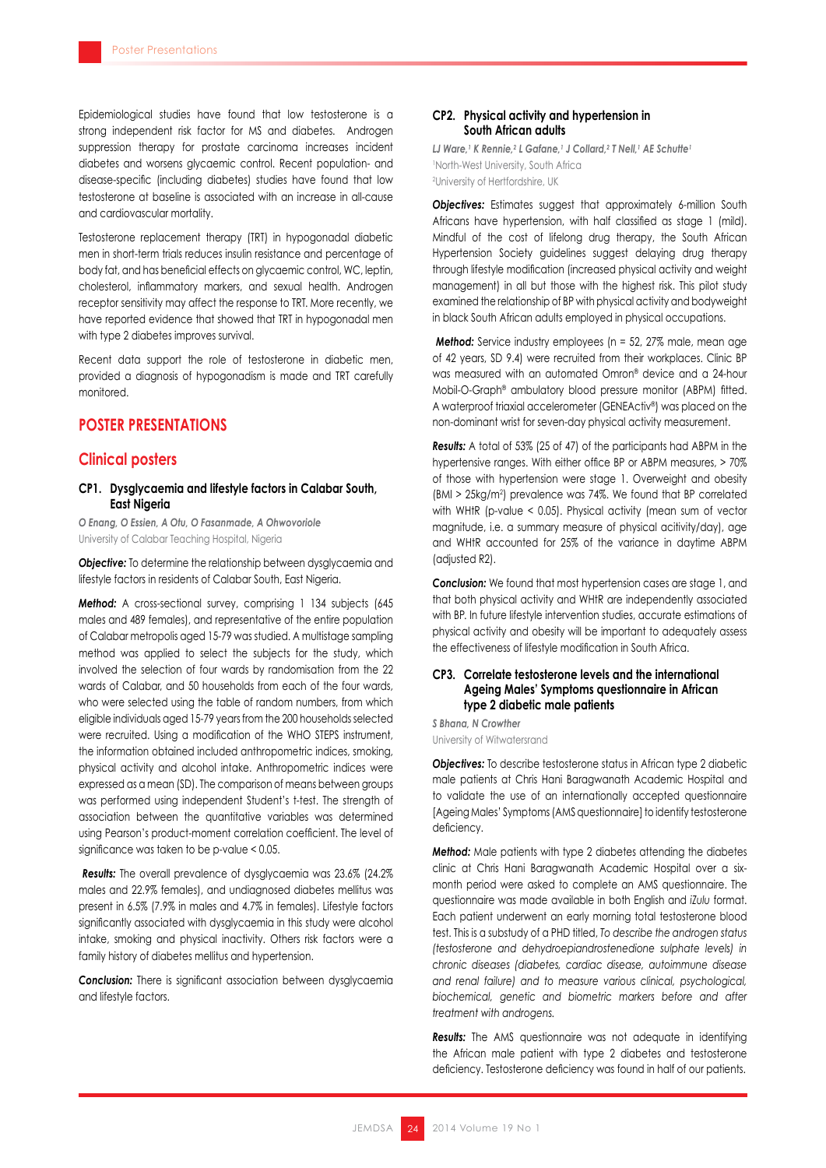Epidemiological studies have found that low testosterone is a strong independent risk factor for MS and diabetes. Androgen suppression therapy for prostate carcinoma increases incident diabetes and worsens glycaemic control. Recent population- and disease-specific (including diabetes) studies have found that low testosterone at baseline is associated with an increase in all-cause and cardiovascular mortality.

Testosterone replacement therapy (TRT) in hypogonadal diabetic men in short-term trials reduces insulin resistance and percentage of body fat, and has beneficial effects on glycaemic control, WC, leptin, cholesterol, inflammatory markers, and sexual health. Androgen receptor sensitivity may affect the response to TRT. More recently, we have reported evidence that showed that TRT in hypogonadal men with type 2 diabetes improves survival.

Recent data support the role of testosterone in diabetic men, provided a diagnosis of hypogonadism is made and TRT carefully monitored.

## **POSTER PRESENTATIONS**

### **Clinical posters**

### **CP1. Dysglycaemia and lifestyle factors in Calabar South, East Nigeria**

*O Enang, O Essien, A Otu, O Fasanmade, A Ohwovoriole* University of Calabar Teaching Hospital, Nigeria

*Objective:* To determine the relationship between dysglycaemia and lifestyle factors in residents of Calabar South, East Nigeria.

*Method:* A cross-sectional survey, comprising 1 134 subjects (645 males and 489 females), and representative of the entire population of Calabar metropolis aged 15-79 was studied. A multistage sampling method was applied to select the subjects for the study, which involved the selection of four wards by randomisation from the 22 wards of Calabar, and 50 households from each of the four wards, who were selected using the table of random numbers, from which eligible individuals aged 15-79 years from the 200 households selected were recruited. Using a modification of the WHO STEPS instrument, the information obtained included anthropometric indices, smoking, physical activity and alcohol intake. Anthropometric indices were expressed as a mean (SD). The comparison of means between groups was performed using independent Student's t-test. The strength of association between the quantitative variables was determined using Pearson's product-moment correlation coefficient. The level of significance was taken to be p-value < 0.05.

*Results:* The overall prevalence of dysglycaemia was 23.6% (24.2% males and 22.9% females), and undiagnosed diabetes mellitus was present in 6.5% (7.9% in males and 4.7% in females). Lifestyle factors significantly associated with dysglycaemia in this study were alcohol intake, smoking and physical inactivity. Others risk factors were a family history of diabetes mellitus and hypertension.

*Conclusion:* There is significant association between dysglycaemia and lifestyle factors.

### **CP2. Physical activity and hypertension in South African adults**

*LJ Ware,1 K Rennie,2 L Gafane,1 J Collard,2 T Nell,1 AE Schutte1* 1 North-West University, South Africa 2 University of Hertfordshire, UK

**Objectives:** Estimates suggest that approximately 6-million South Africans have hypertension, with half classified as stage 1 (mild). Mindful of the cost of lifelong drug therapy, the South African Hypertension Society guidelines suggest delaying drug therapy through lifestyle modification (increased physical activity and weight management) in all but those with the highest risk. This pilot study examined the relationship of BP with physical activity and bodyweight in black South African adults employed in physical occupations.

*Method:* Service industry employees (n = 52, 27% male, mean age of 42 years, SD 9.4) were recruited from their workplaces. Clinic BP was measured with an automated Omron® device and a 24-hour Mobil-O-Graph® ambulatory blood pressure monitor (ABPM) fitted. A waterproof triaxial accelerometer (GENEActiv®) was placed on the non-dominant wrist for seven-day physical activity measurement.

*Results:* A total of 53% (25 of 47) of the participants had ABPM in the hypertensive ranges. With either office BP or ABPM measures, > 70% of those with hypertension were stage 1. Overweight and obesity (BMI > 25kg/m2 ) prevalence was 74%. We found that BP correlated with WHtR (p-value < 0.05). Physical activity (mean sum of vector magnitude, i.e. a summary measure of physical acitivity/day), age and WHtR accounted for 25% of the variance in daytime ABPM (adjusted R2).

*Conclusion:* We found that most hypertension cases are stage 1, and that both physical activity and WHtR are independently associated with BP. In future lifestyle intervention studies, accurate estimations of physical activity and obesity will be important to adequately assess the effectiveness of lifestyle modification in South Africa.

### **CP3. Correlate testosterone levels and the international Ageing Males' Symptoms questionnaire in African type 2 diabetic male patients**

*S Bhana, N Crowther* University of Witwatersrand

**Objectives:** To describe testosterone status in African type 2 diabetic male patients at Chris Hani Baragwanath Academic Hospital and to validate the use of an internationally accepted questionnaire [Ageing Males' Symptoms(AMS questionnaire] to identify testosterone deficiency.

*Method:* Male patients with type 2 diabetes attending the diabetes clinic at Chris Hani Baragwanath Academic Hospital over a sixmonth period were asked to complete an AMS questionnaire. The questionnaire was made available in both English and *iZulu* format. Each patient underwent an early morning total testosterone blood test. This is a substudy of a PHD titled, *To describe the androgen status (testosterone and dehydroepiandrostenedione sulphate levels) in chronic diseases (diabetes, cardiac disease, autoimmune disease and renal failure) and to measure various clinical, psychological, biochemical, genetic and biometric markers before and after treatment with androgens.*

*Results:* The AMS questionnaire was not adequate in identifying the African male patient with type 2 diabetes and testosterone deficiency. Testosterone deficiency was found in half of our patients.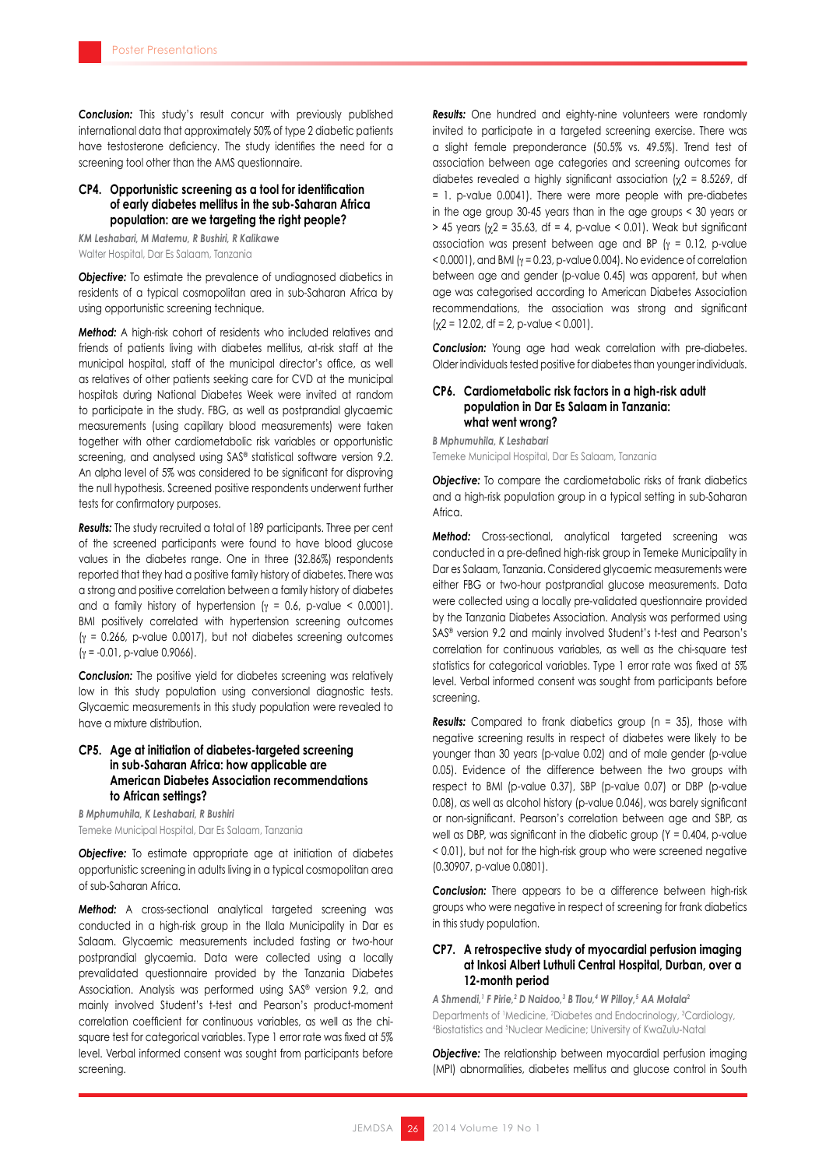*Conclusion:* This study's result concur with previously published international data that approximately 50% of type 2 diabetic patients have testosterone deficiency. The study identifies the need for a screening tool other than the AMS questionnaire.

### **CP4. Opportunistic screening as a tool for identification of early diabetes mellitus in the sub-Saharan Africa population: are we targeting the right people?**

*KM Leshabari, M Matemu, R Bushiri, R Kalikawe*

Walter Hospital, Dar Es Salaam, Tanzania

**Objective:** To estimate the prevalence of undiagnosed diabetics in residents of a typical cosmopolitan area in sub-Saharan Africa by using opportunistic screening technique.

**Method:** A high-risk cohort of residents who included relatives and friends of patients living with diabetes mellitus, at-risk staff at the municipal hospital, staff of the municipal director's office, as well as relatives of other patients seeking care for CVD at the municipal hospitals during National Diabetes Week were invited at random to participate in the study. FBG, as well as postprandial glycaemic measurements (using capillary blood measurements) were taken together with other cardiometabolic risk variables or opportunistic screening, and analysed using SAS® statistical software version 9.2. An alpha level of 5% was considered to be significant for disproving the null hypothesis. Screened positive respondents underwent further tests for confirmatory purposes.

*Results:* The study recruited a total of 189 participants. Three per cent of the screened participants were found to have blood glucose values in the diabetes range. One in three (32.86%) respondents reported that they had a positive family history of diabetes. There was a strong and positive correlation between a family history of diabetes and a family history of hypertension ( $\gamma = 0.6$ , p-value < 0.0001). BMI positively correlated with hypertension screening outcomes  $(y = 0.266, p-value 0.0017)$ , but not diabetes screening outcomes  $(y = -0.01, p-value 0.9066)$ .

*Conclusion:* The positive yield for diabetes screening was relatively low in this study population using conversional diagnostic tests. Glycaemic measurements in this study population were revealed to have a mixture distribution.

### **CP5. Age at initiation of diabetes-targeted screening in sub-Saharan Africa: how applicable are American Diabetes Association recommendations to African settings?**

*B Mphumuhila, K Leshabari, R Bushiri* Temeke Municipal Hospital, Dar Es Salaam, Tanzania

*Objective:* To estimate appropriate age at initiation of diabetes opportunistic screening in adults living in a typical cosmopolitan area of sub-Saharan Africa.

**Method:** A cross-sectional analytical targeted screening was conducted in a high-risk group in the Ilala Municipality in Dar es Salaam. Glycaemic measurements included fasting or two-hour postprandial glycaemia. Data were collected using a locally prevalidated questionnaire provided by the Tanzania Diabetes Association. Analysis was performed using SAS® version 9.2, and mainly involved Student's t-test and Pearson's product-moment correlation coefficient for continuous variables, as well as the chisquare test for categorical variables. Type 1 error rate was fixed at 5% level. Verbal informed consent was sought from participants before screening.

*Results:* One hundred and eighty-nine volunteers were randomly invited to participate in a targeted screening exercise. There was a slight female preponderance (50.5% vs. 49.5%). Trend test of association between age categories and screening outcomes for diabetes revealed a highly significant association  $(y2 = 8.5269)$ , df = 1. p-value 0.0041). There were more people with pre-diabetes in the age group 30-45 years than in the age groups < 30 years or  $> 45$  years ( $\chi$ 2 = 35.63, df = 4, p-value < 0.01). Weak but significant association was present between age and BP ( $\gamma$  = 0.12, p-value  $<$  0.0001), and BMI ( $\gamma$  = 0.23, p-value 0.004). No evidence of correlation between age and gender (p-value 0.45) was apparent, but when age was categorised according to American Diabetes Association recommendations, the association was strong and significant  $(\chi 2 = 12.02, df = 2, p-value < 0.001).$ 

*Conclusion:* Young age had weak correlation with pre-diabetes. Older individuals tested positive for diabetes than younger individuals.

### **CP6. Cardiometabolic risk factors in a high-risk adult population in Dar Es Salaam in Tanzania: what went wrong?**

*B Mphumuhila, K Leshabari* Temeke Municipal Hospital, Dar Es Salaam, Tanzania

**Objective:** To compare the cardiometabolic risks of frank diabetics and a high-risk population group in a typical setting in sub-Saharan **Africa** 

**Method:** Cross-sectional, analytical targeted screening was conducted in a pre-defined high-risk group in Temeke Municipality in Dar es Salaam, Tanzania. Considered glycaemic measurements were either FBG or two-hour postprandial glucose measurements. Data were collected using a locally pre-validated questionnaire provided by the Tanzania Diabetes Association. Analysis was performed using SAS® version 9.2 and mainly involved Student's t-test and Pearson's correlation for continuous variables, as well as the chi-square test statistics for categorical variables. Type 1 error rate was fixed at 5% level. Verbal informed consent was sought from participants before screening.

*Results:* Compared to frank diabetics group (n = 35), those with negative screening results in respect of diabetes were likely to be younger than 30 years (p-value 0.02) and of male gender (p-value 0.05). Evidence of the difference between the two groups with respect to BMI (p-value 0.37), SBP (p-value 0.07) or DBP (p-value 0.08), as well as alcohol history (p-value 0.046), was barely significant or non-significant. Pearson's correlation between age and SBP, as well as DBP, was significant in the diabetic group (Y = 0.404, p-value < 0.01), but not for the high-risk group who were screened negative (0.30907, p-value 0.0801).

*Conclusion:* There appears to be a difference between high-risk groups who were negative in respect of screening for frank diabetics in this study population.

### **CP7. A retrospective study of myocardial perfusion imaging at Inkosi Albert Luthuli Central Hospital, Durban, over a 12-month period**

*A Shmendi,1 F Pirie,2 D Naidoo,3 B Tlou,4 W Pilloy,5 AA Motala2* Departments of 'Medicine, <sup>2</sup>Diabetes and Endocrinology, <sup>3</sup>Cardiology, 4 Biostatistics and <sup>5</sup> Nuclear Medicine; University of KwaZulu-Natal

**Objective:** The relationship between myocardial perfusion imaging (MPI) abnormalities, diabetes mellitus and glucose control in South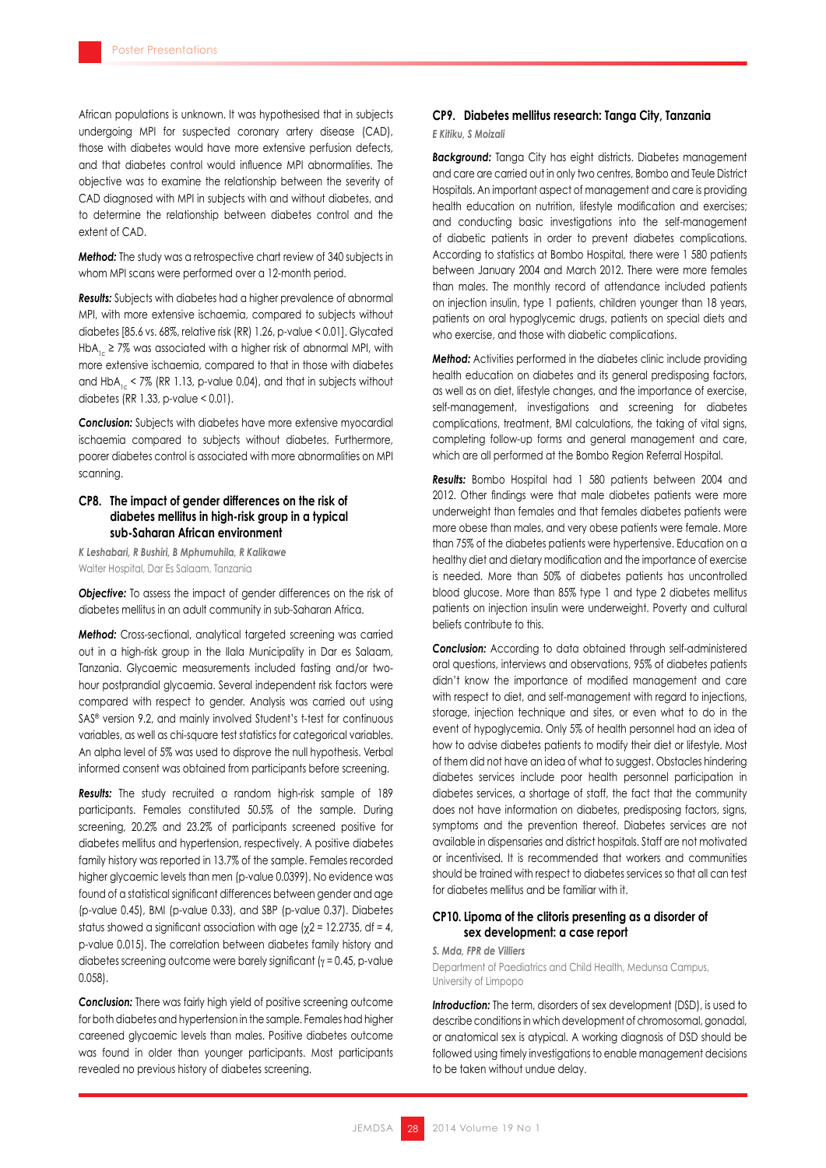African populations is unknown. It was hypothesised that in subjects undergoing MPI for suspected coronary artery disease (CAD), those with diabetes would have more extensive perfusion defects, and that diabetes control would influence MPI abnormalities. The objective was to examine the relationship between the severity of CAD diagnosed with MPI in subjects with and without diabetes, and to determine the relationship between diabetes control and the extent of CAD.

*Method:* The study was a retrospective chart review of 340 subjects in whom MPI scans were performed over a 12-month period.

*Results:* Subjects with diabetes had a higher prevalence of abnormal MPI, with more extensive ischaemia, compared to subjects without diabetes [85.6 vs. 68%, relative risk (RR) 1.26, p-value < 0.01]. Glycated HbA<sub>1c</sub> ≥ 7% was associated with a higher risk of abnormal MPI, with more extensive ischaemia, compared to that in those with diabetes and HbA<sub>1c</sub> < 7% (RR 1.13, p-value 0.04), and that in subjects without diabetes (RR 1.33, p-value < 0.01).

*Conclusion:* Subjects with diabetes have more extensive myocardial ischaemia compared to subjects without diabetes. Furthermore, poorer diabetes control is associated with more abnormalities on MPI scanning.

### **CP8. The impact of gender differences on the risk of diabetes mellitus in high-risk group in a typical sub-Saharan African environment**

*K Leshabari, R Bushiri, B Mphumuhila, R Kalikawe* Walter Hospital, Dar Es Salaam, Tanzania

**Objective:** To assess the impact of gender differences on the risk of diabetes mellitus in an adult community in sub-Saharan Africa.

**Method:** Cross-sectional, analytical targeted screening was carried out in a high-risk group in the Ilala Municipality in Dar es Salaam, Tanzania. Glycaemic measurements included fasting and/or twohour postprandial glycaemia. Several independent risk factors were compared with respect to gender. Analysis was carried out using SAS® version 9.2, and mainly involved Student's t-test for continuous variables, as well as chi-square test statistics for categorical variables. An alpha level of 5% was used to disprove the null hypothesis. Verbal informed consent was obtained from participants before screening.

*Results:* The study recruited a random high-risk sample of 189 participants. Females constituted 50.5% of the sample. During screening, 20.2% and 23.2% of participants screened positive for diabetes mellitus and hypertension, respectively. A positive diabetes family history was reported in 13.7% of the sample. Females recorded higher glycaemic levels than men (p-value 0.0399). No evidence was found of a statistical significant differences between gender and age (p-value 0.45), BMI (p-value 0.33), and SBP (p-value 0.37). Diabetes status showed a significant association with age ( $\chi$ 2 = 12.2735, df = 4, p-value 0.015). The correlation between diabetes family history and diabetes screening outcome were barely significant (γ = 0.45, p-value 0.058).

*Conclusion:* There was fairly high yield of positive screening outcome for both diabetes and hypertension in the sample. Females had higher careened glycaemic levels than males. Positive diabetes outcome was found in older than younger participants. Most participants revealed no previous history of diabetes screening.

### **CP9. Diabetes mellitus research: Tanga City, Tanzania**

### *E Kitiku, S Moizali*

**Background:** Tanga City has eight districts. Diabetes management and care are carried out in only two centres, Bombo and Teule District Hospitals. An important aspect of management and care is providing health education on nutrition, lifestyle modification and exercises; and conducting basic investigations into the self-management of diabetic patients in order to prevent diabetes complications. According to statistics at Bombo Hospital, there were 1 580 patients between January 2004 and March 2012. There were more females than males. The monthly record of attendance included patients on injection insulin, type 1 patients, children younger than 18 years, patients on oral hypoglycemic drugs, patients on special diets and who exercise, and those with diabetic complications.

*Method:* Activities performed in the diabetes clinic include providing health education on diabetes and its general predisposing factors, as well as on diet, lifestyle changes, and the importance of exercise, self-management, investigations and screening for diabetes complications, treatment, BMI calculations, the taking of vital signs, completing follow-up forms and general management and care, which are all performed at the Bombo Region Referral Hospital.

*Results:* Bombo Hospital had 1 580 patients between 2004 and 2012. Other findings were that male diabetes patients were more underweight than females and that females diabetes patients were more obese than males, and very obese patients were female. More than 75% of the diabetes patients were hypertensive. Education on a healthy diet and dietary modification and the importance of exercise is needed. More than 50% of diabetes patients has uncontrolled blood glucose. More than 85% type 1 and type 2 diabetes mellitus patients on injection insulin were underweight. Poverty and cultural beliefs contribute to this.

*Conclusion:* According to data obtained through self-administered oral questions, interviews and observations, 95% of diabetes patients didn't know the importance of modified management and care with respect to diet, and self-management with regard to injections, storage, injection technique and sites, or even what to do in the event of hypoglycemia. Only 5% of health personnel had an idea of how to advise diabetes patients to modify their diet or lifestyle. Most of them did not have an idea of what to suggest. Obstacles hindering diabetes services include poor health personnel participation in diabetes services, a shortage of staff, the fact that the community does not have information on diabetes, predisposing factors, signs, symptoms and the prevention thereof. Diabetes services are not available in dispensaries and district hospitals. Staff are not motivated or incentivised. It is recommended that workers and communities should be trained with respect to diabetes services so that all can test for diabetes mellitus and be familiar with it.

### **CP10. Lipoma of the clitoris presenting as a disorder of sex development: a case report**

#### *S. Mda, FPR de Villiers*

Department of Paediatrics and Child Health, Medunsa Campus, University of Limpopo

**Introduction:** The term, disorders of sex development (DSD), is used to describe conditions in which development of chromosomal, gonadal, or anatomical sex is atypical. A working diagnosis of DSD should be followed using timely investigations to enable management decisions to be taken without undue delay.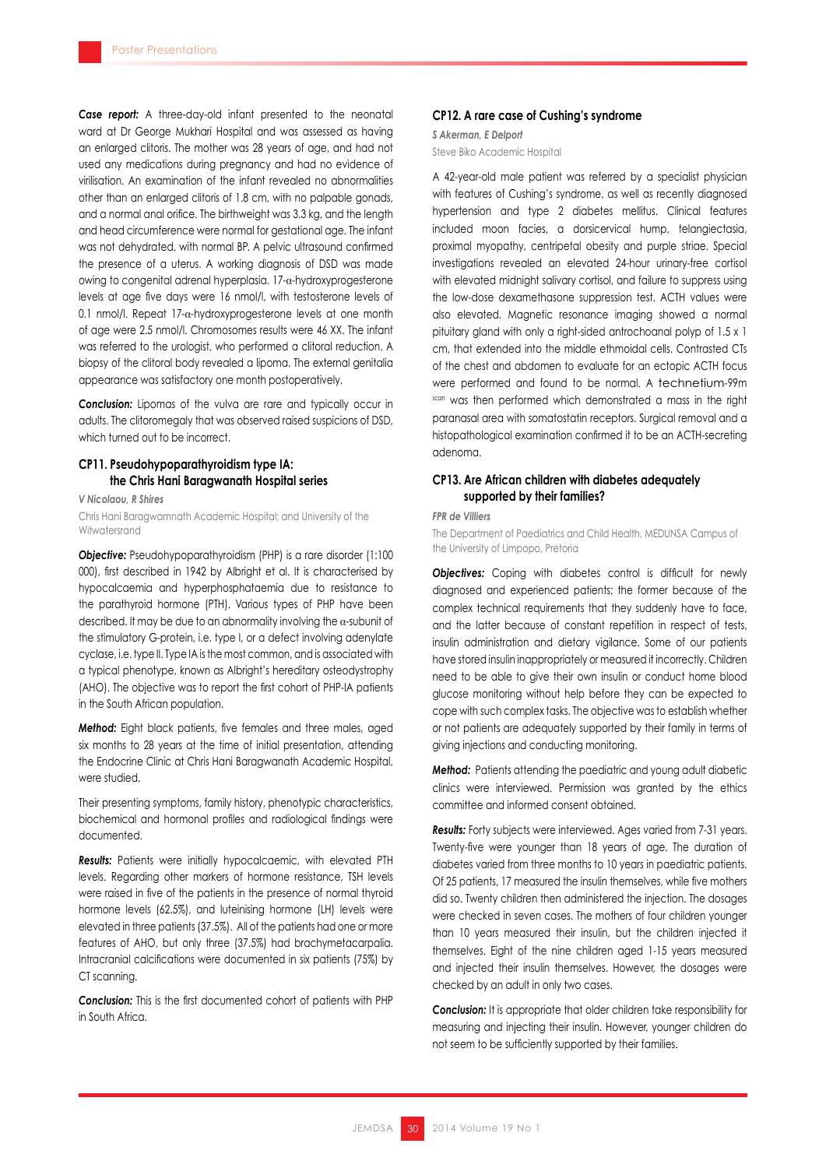**Case report:** A three-day-old infant presented to the neonatal ward at Dr George Mukhari Hospital and was assessed as having an enlarged clitoris. The mother was 28 years of age, and had not used any medications during pregnancy and had no evidence of virilisation. An examination of the infant revealed no abnormalities other than an enlarged clitoris of 1.8 cm, with no palpable gonads, and a normal anal orifice. The birthweight was 3.3 kg, and the length and head circumference were normal for gestational age. The infant was not dehydrated, with normal BP. A pelvic ultrasound confirmed the presence of a uterus. A working diagnosis of DSD was made owing to congenital adrenal hyperplasia. 17-α-hydroxyprogesterone levels at age five days were 16 nmol/l, with testosterone levels of 0.1 nmol/l. Repeat 17- $\alpha$ -hydroxyprogesterone levels at one month of age were 2.5 nmol/l. Chromosomes results were 46 XX. The infant was referred to the urologist, who performed a clitoral reduction. A biopsy of the clitoral body revealed a lipoma. The external genitalia appearance was satisfactory one month postoperatively.

**Conclusion:** Lipomas of the vulva are rare and typically occur in adults. The clitoromegaly that was observed raised suspicions of DSD, which turned out to be incorrect.

### **CP11. Pseudohypoparathyroidism type IA: the Chris Hani Baragwanath Hospital series**

*V Nicolaou, R Shires*

Chris Hani Baragwamnath Academic Hospital; and University of the Witwatersrand

**Objective:** Pseudohypoparathyroidism (PHP) is a rare disorder (1:100 000), first described in 1942 by Albright et al. It is characterised by hypocalcaemia and hyperphosphataemia due to resistance to the parathyroid hormone (PTH). Various types of PHP have been described. It may be due to an abnormality involving the  $\alpha$ -subunit of the stimulatory G-protein, i.e. type I, or a defect involving adenylate cyclase, i.e. type II. Type IA is the most common, and is associated with a typical phenotype, known as Albright's hereditary osteodystrophy (AHO). The objective was to report the first cohort of PHP-IA patients in the South African population.

*Method:* Eight black patients, five females and three males, aged six months to 28 years at the time of initial presentation, attending the Endocrine Clinic at Chris Hani Baragwanath Academic Hospital, were studied.

Their presenting symptoms, family history, phenotypic characteristics, biochemical and hormonal profiles and radiological findings were documented.

*Results:* Patients were initially hypocalcaemic, with elevated PTH levels. Regarding other markers of hormone resistance, TSH levels were raised in five of the patients in the presence of normal thyroid hormone levels (62.5%), and luteinising hormone (LH) levels were elevated in three patients (37.5%). All of the patients had one or more features of AHO, but only three (37.5%) had brachymetacarpalia. Intracranial calcifications were documented in six patients (75%) by CT scanning.

*Conclusion:* This is the first documented cohort of patients with PHP in South Africa.

### **CP12. A rare case of Cushing's syndrome**

*S Akerman, E Delport* Steve Biko Academic Hospital

A 42-year-old male patient was referred by a specialist physician with features of Cushing's syndrome, as well as recently diagnosed hypertension and type 2 diabetes mellitus. Clinical features included moon facies, a dorsicervical hump, telangiectasia, proximal myopathy, centripetal obesity and purple striae. Special investigations revealed an elevated 24-hour urinary-free cortisol with elevated midnight salivary cortisol, and failure to suppress using the low-dose dexamethasone suppression test. ACTH values were also elevated. Magnetic resonance imaging showed a normal pituitary gland with only a right-sided antrochoanal polyp of 1.5 x 1 cm, that extended into the middle ethmoidal cells. Contrasted CTs of the chest and abdomen to evaluate for an ectopic ACTH focus were performed and found to be normal. A technetium-99m scan was then performed which demonstrated a mass in the right paranasal area with somatostatin receptors. Surgical removal and a histopathological examination confirmed it to be an ACTH-secreting adenoma.

### **CP13. Are African children with diabetes adequately supported by their families?**

### *FPR de Villiers*

The Department of Paediatrics and Child Health, MEDUNSA Campus of the University of Limpopo, Pretoria

**Objectives:** Coping with diabetes control is difficult for newly diagnosed and experienced patients; the former because of the complex technical requirements that they suddenly have to face, and the latter because of constant repetition in respect of tests, insulin administration and dietary vigilance. Some of our patients have stored insulin inappropriately or measured it incorrectly. Children need to be able to give their own insulin or conduct home blood glucose monitoring without help before they can be expected to cope with such complex tasks. The objective was to establish whether or not patients are adequately supported by their family in terms of giving injections and conducting monitoring.

**Method:** Patients attending the paediatric and young adult diabetic clinics were interviewed. Permission was granted by the ethics committee and informed consent obtained.

*Results:* Forty subjects were interviewed. Ages varied from 7-31 years. Twenty-five were younger than 18 years of age. The duration of diabetes varied from three months to 10 years in paediatric patients. Of 25 patients, 17 measured the insulin themselves, while five mothers did so. Twenty children then administered the injection. The dosages were checked in seven cases. The mothers of four children younger than 10 years measured their insulin, but the children injected it themselves. Eight of the nine children aged 1-15 years measured and injected their insulin themselves. However, the dosages were checked by an adult in only two cases.

**Conclusion:** It is appropriate that older children take responsibility for measuring and injecting their insulin. However, younger children do not seem to be sufficiently supported by their families.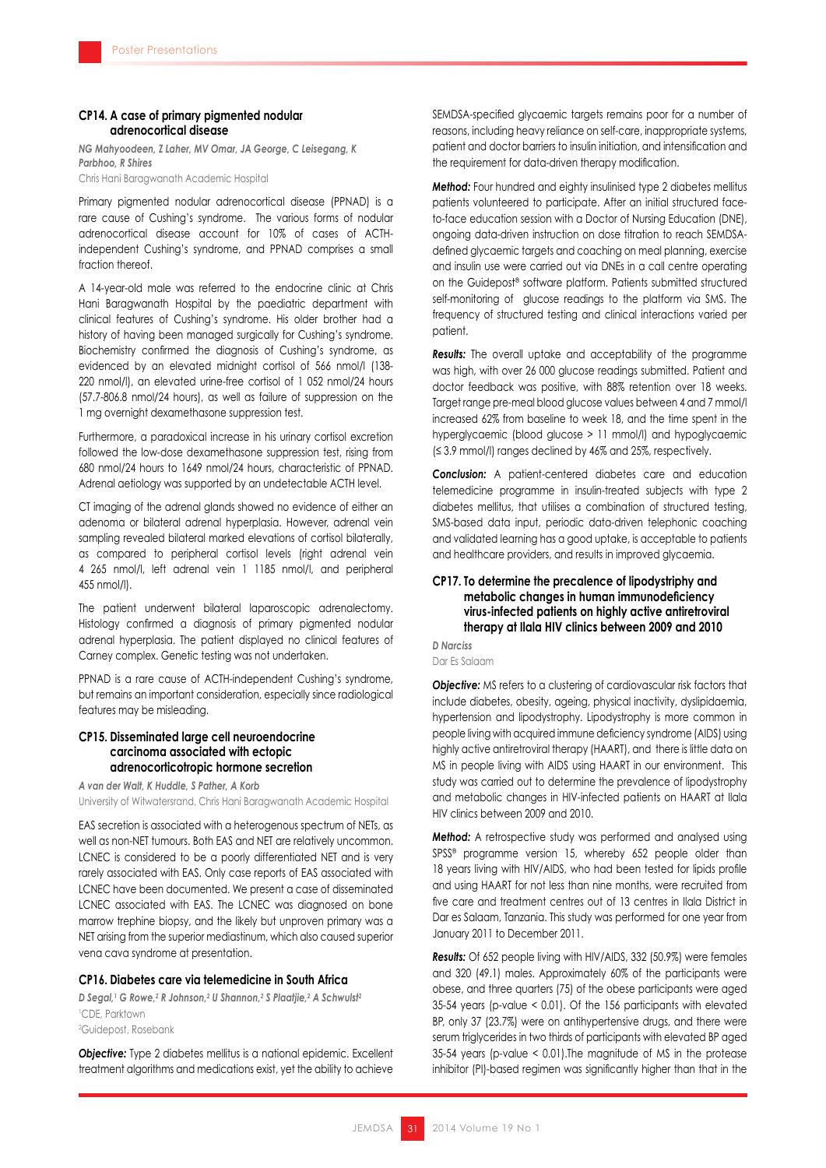### **CP14. A case of primary pigmented nodular adrenocortical disease**

*NG Mahyoodeen, Z Laher, MV Omar, JA George, C Leisegang, K Parbhoo, R Shires* Chris Hani Baragwanath Academic Hospital

Primary pigmented nodular adrenocortical disease (PPNAD) is a rare cause of Cushing's syndrome. The various forms of nodular adrenocortical disease account for 10% of cases of ACTHindependent Cushing's syndrome, and PPNAD comprises a small fraction thereof.

A 14-year-old male was referred to the endocrine clinic at Chris Hani Baragwanath Hospital by the paediatric department with clinical features of Cushing's syndrome. His older brother had a history of having been managed surgically for Cushing's syndrome. Biochemistry confirmed the diagnosis of Cushing's syndrome, as evidenced by an elevated midnight cortisol of 566 nmol/l (138- 220 nmol/l), an elevated urine-free cortisol of 1 052 nmol/24 hours (57.7-806.8 nmol/24 hours), as well as failure of suppression on the 1 mg overnight dexamethasone suppression test.

Furthermore, a paradoxical increase in his urinary cortisol excretion followed the low-dose dexamethasone suppression test, rising from 680 nmol/24 hours to 1649 nmol/24 hours, characteristic of PPNAD. Adrenal aetiology was supported by an undetectable ACTH level.

CT imaging of the adrenal glands showed no evidence of either an adenoma or bilateral adrenal hyperplasia. However, adrenal vein sampling revealed bilateral marked elevations of cortisol bilaterally, as compared to peripheral cortisol levels (right adrenal vein 4 265 nmol/l, left adrenal vein 1 1185 nmol/l, and peripheral 455 nmol/l).

The patient underwent bilateral laparoscopic adrenalectomy. Histology confirmed a diagnosis of primary pigmented nodular adrenal hyperplasia. The patient displayed no clinical features of Carney complex. Genetic testing was not undertaken.

PPNAD is a rare cause of ACTH-independent Cushing's syndrome, but remains an important consideration, especially since radiological features may be misleading.

### **CP15. Disseminated large cell neuroendocrine carcinoma associated with ectopic adrenocorticotropic hormone secretion**

*A van der Walt, K Huddle, S Pather, A Korb* University of Witwatersrand, Chris Hani Baragwanath Academic Hospital

EAS secretion is associated with a heterogenous spectrum of NETs, as well as non-NET tumours. Both EAS and NET are relatively uncommon. LCNEC is considered to be a poorly differentiated NET and is very rarely associated with EAS. Only case reports of EAS associated with LCNEC have been documented. We present a case of disseminated LCNEC associated with EAS. The LCNEC was diagnosed on bone marrow trephine biopsy, and the likely but unproven primary was a NET arising from the superior mediastinum, which also caused superior vena cava syndrome at presentation.

### **CP16. Diabetes care via telemedicine in South Africa**

*D Segal,1 G Rowe,2 R Johnson,2 U Shannon,2 S Plaatjie,2 A Schwulst2* 1 CDE, Parktown 2 Guidepost, Rosebank

*Objective:* Type 2 diabetes mellitus is a national epidemic. Excellent treatment algorithms and medications exist, yet the ability to achieve

SEMDSA-specified glycaemic targets remains poor for a number of reasons, including heavy reliance on self-care, inappropriate systems, patient and doctor barriers to insulin initiation, and intensification and the requirement for data-driven therapy modification.

*Method:* Four hundred and eighty insulinised type 2 diabetes mellitus patients volunteered to participate. After an initial structured faceto-face education session with a Doctor of Nursing Education (DNE), ongoing data-driven instruction on dose titration to reach SEMDSAdefined glycaemic targets and coaching on meal planning, exercise and insulin use were carried out via DNEs in a call centre operating on the Guidepost® software platform. Patients submitted structured self-monitoring of glucose readings to the platform via SMS. The frequency of structured testing and clinical interactions varied per patient.

*Results:* The overall uptake and acceptability of the programme was high, with over 26 000 glucose readings submitted. Patient and doctor feedback was positive, with 88% retention over 18 weeks. Target range pre-meal blood glucose values between 4 and 7 mmol/l increased 62% from baseline to week 18, and the time spent in the hyperglycaemic (blood glucose > 11 mmol/l) and hypoglycaemic (≤ 3.9 mmol/l) ranges declined by 46% and 25%, respectively.

*Conclusion:* A patient-centered diabetes care and education telemedicine programme in insulin-treated subjects with type 2 diabetes mellitus, that utilises a combination of structured testing, SMS-based data input, periodic data-driven telephonic coaching and validated learning has a good uptake, is acceptable to patients and healthcare providers, and results in improved glycaemia.

### **CP17. To determine the precalence of lipodystriphy and metabolic changes in human immunodeficiency virus-infected patients on highly active antiretroviral therapy at Ilala HIV clinics between 2009 and 2010**

*D Narciss* Dar Es Salaam

**Objective:** MS refers to a clustering of cardiovascular risk factors that include diabetes, obesity, ageing, physical inactivity, dyslipidaemia, hypertension and lipodystrophy. Lipodystrophy is more common in people living with acquired immune deficiency syndrome (AIDS) using highly active antiretroviral therapy (HAART), and there is little data on MS in people living with AIDS using HAART in our environment. This study was carried out to determine the prevalence of lipodystrophy and metabolic changes in HIV-infected patients on HAART at Ilala HIV clinics between 2009 and 2010.

**Method:** A retrospective study was performed and analysed using SPSS® programme version 15, whereby 652 people older than 18 years living with HIV/AIDS, who had been tested for lipids profile and using HAART for not less than nine months, were recruited from five care and treatment centres out of 13 centres in Ilala District in Dar es Salaam, Tanzania. This study was performed for one year from January 2011 to December 2011.

*Results:* Of 652 people living with HIV/AIDS, 332 (50.9%) were females and 320 (49.1) males. Approximately 60% of the participants were obese, and three quarters (75) of the obese participants were aged 35-54 years (p-value < 0.01). Of the 156 participants with elevated BP, only 37 (23.7%) were on antihypertensive drugs, and there were serum triglycerides in two thirds of participants with elevated BP aged 35-54 years (p-value < 0.01).The magnitude of MS in the protease inhibitor (PI)-based regimen was significantly higher than that in the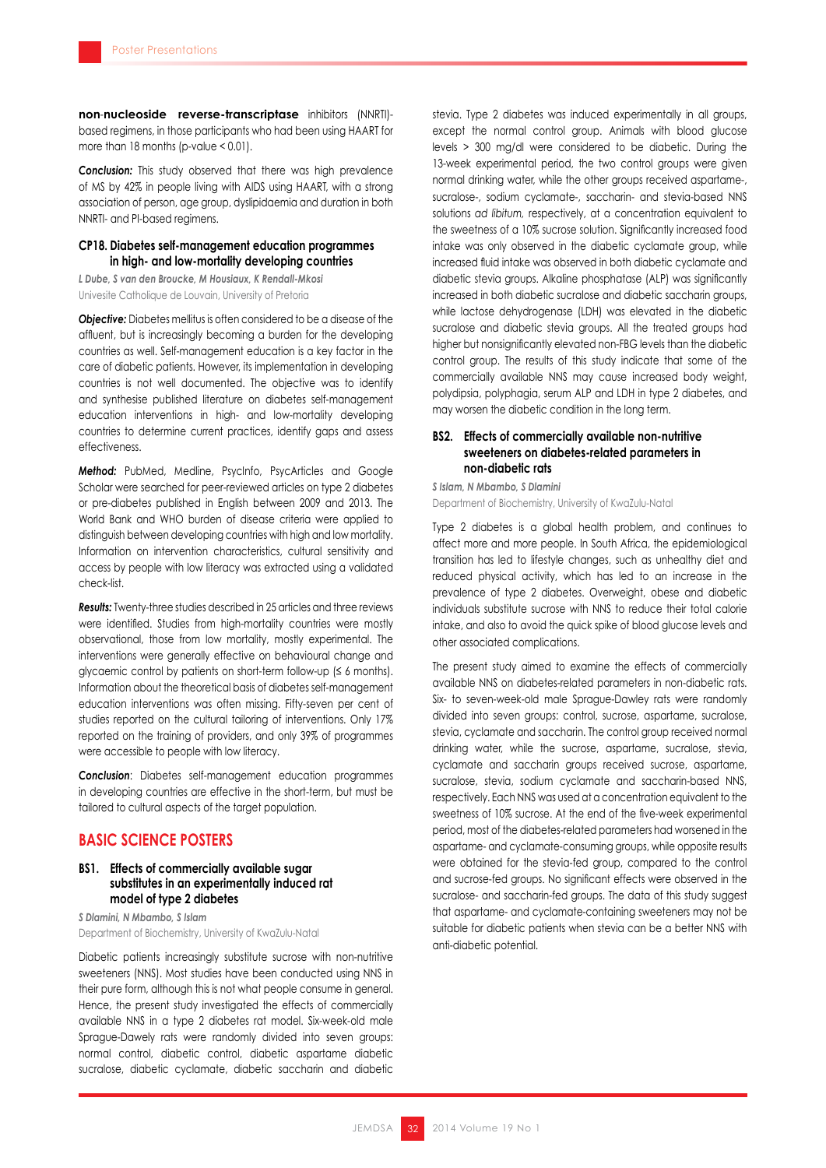**non**-**nucleoside reverse-transcriptase** inhibitors (NNRTI) based regimens, in those participants who had been using HAART for more than 18 months (p-value < 0.01).

*Conclusion:* This study observed that there was high prevalence of MS by 42% in people living with AIDS using HAART, with a strong association of person, age group, dyslipidaemia and duration in both NNRTI- and PI-based regimens.

### **CP18. Diabetes self-management education programmes in high- and low-mortality developing countries**

*L Dube, S van den Broucke, M Housiaux, K Rendall-Mkosi* Univesite Catholique de Louvain, University of Pretoria

*Objective:* Diabetes mellitus is often considered to be a disease of the affluent, but is increasingly becoming a burden for the developing countries as well. Self-management education is a key factor in the care of diabetic patients. However, its implementation in developing countries is not well documented. The objective was to identify and synthesise published literature on diabetes self-management education interventions in high- and low-mortality developing countries to determine current practices, identify gaps and assess effectiveness.

**Method:** PubMed, Medline, PsycInfo, PsycArticles and Google Scholar were searched for peer-reviewed articles on type 2 diabetes or pre-diabetes published in English between 2009 and 2013. The World Bank and WHO burden of disease criteria were applied to distinguish between developing countries with high and low mortality. Information on intervention characteristics, cultural sensitivity and access by people with low literacy was extracted using a validated check-list.

*Results:* Twenty-three studies described in 25 articles and three reviews were identified. Studies from high-mortality countries were mostly observational, those from low mortality, mostly experimental. The interventions were generally effective on behavioural change and glycaemic control by patients on short-term follow-up  $( \leq 6 \text{ months}).$ Information about the theoretical basis of diabetes self-management education interventions was often missing. Fifty-seven per cent of studies reported on the cultural tailoring of interventions. Only 17% reported on the training of providers, and only 39% of programmes were accessible to people with low literacy.

**Conclusion:** Diabetes self-management education programmes in developing countries are effective in the short-term, but must be tailored to cultural aspects of the target population.

### **BASIC SCIENCE POSTERS**

### **BS1. Effects of commercially available sugar substitutes in an experimentally induced rat model of type 2 diabetes**

*S Dlamini, N Mbambo, S Islam* Department of Biochemistry, University of KwaZulu-Natal

Diabetic patients increasingly substitute sucrose with non-nutritive sweeteners (NNS). Most studies have been conducted using NNS in their pure form, although this is not what people consume in general. Hence, the present study investigated the effects of commercially available NNS in a type 2 diabetes rat model. Six-week-old male Sprague-Dawely rats were randomly divided into seven groups: normal control, diabetic control, diabetic aspartame diabetic sucralose, diabetic cyclamate, diabetic saccharin and diabetic

stevia. Type 2 diabetes was induced experimentally in all groups, except the normal control group. Animals with blood glucose levels > 300 mg/dl were considered to be diabetic. During the 13-week experimental period, the two control groups were given normal drinking water, while the other groups received aspartame-, sucralose-, sodium cyclamate-, saccharin- and stevia-based NNS solutions *ad libitum,* respectively, at a concentration equivalent to the sweetness of a 10% sucrose solution. Significantly increased food intake was only observed in the diabetic cyclamate group, while increased fluid intake was observed in both diabetic cyclamate and diabetic stevia groups. Alkaline phosphatase (ALP) was significantly increased in both diabetic sucralose and diabetic saccharin groups, while lactose dehydrogenase (LDH) was elevated in the diabetic sucralose and diabetic stevia groups. All the treated groups had higher but nonsignificantly elevated non-FBG levels than the diabetic control group. The results of this study indicate that some of the commercially available NNS may cause increased body weight, polydipsia, polyphagia, serum ALP and LDH in type 2 diabetes, and may worsen the diabetic condition in the long term.

### **BS2. Effects of commercially available non-nutritive sweeteners on diabetes-related parameters in non-diabetic rats**

*S Islam, N Mbambo, S Dlamini* Department of Biochemistry, University of KwaZulu-Natal

Type 2 diabetes is a global health problem, and continues to affect more and more people. In South Africa, the epidemiological transition has led to lifestyle changes, such as unhealthy diet and reduced physical activity, which has led to an increase in the prevalence of type 2 diabetes. Overweight, obese and diabetic individuals substitute sucrose with NNS to reduce their total calorie intake, and also to avoid the quick spike of blood glucose levels and other associated complications.

The present study aimed to examine the effects of commercially available NNS on diabetes-related parameters in non-diabetic rats. Six- to seven-week-old male Sprague-Dawley rats were randomly divided into seven groups: control, sucrose, aspartame, sucralose, stevia, cyclamate and saccharin. The control group received normal drinking water, while the sucrose, aspartame, sucralose, stevia, cyclamate and saccharin groups received sucrose, aspartame, sucralose, stevia, sodium cyclamate and saccharin-based NNS, respectively. Each NNS was used at a concentration equivalent to the sweetness of 10% sucrose. At the end of the five-week experimental period, most of the diabetes-related parameters had worsened in the aspartame- and cyclamate-consuming groups, while opposite results were obtained for the stevia-fed group, compared to the control and sucrose-fed groups. No significant effects were observed in the sucralose- and saccharin-fed groups. The data of this study suggest that aspartame- and cyclamate-containing sweeteners may not be suitable for diabetic patients when stevia can be a better NNS with anti-diabetic potential.